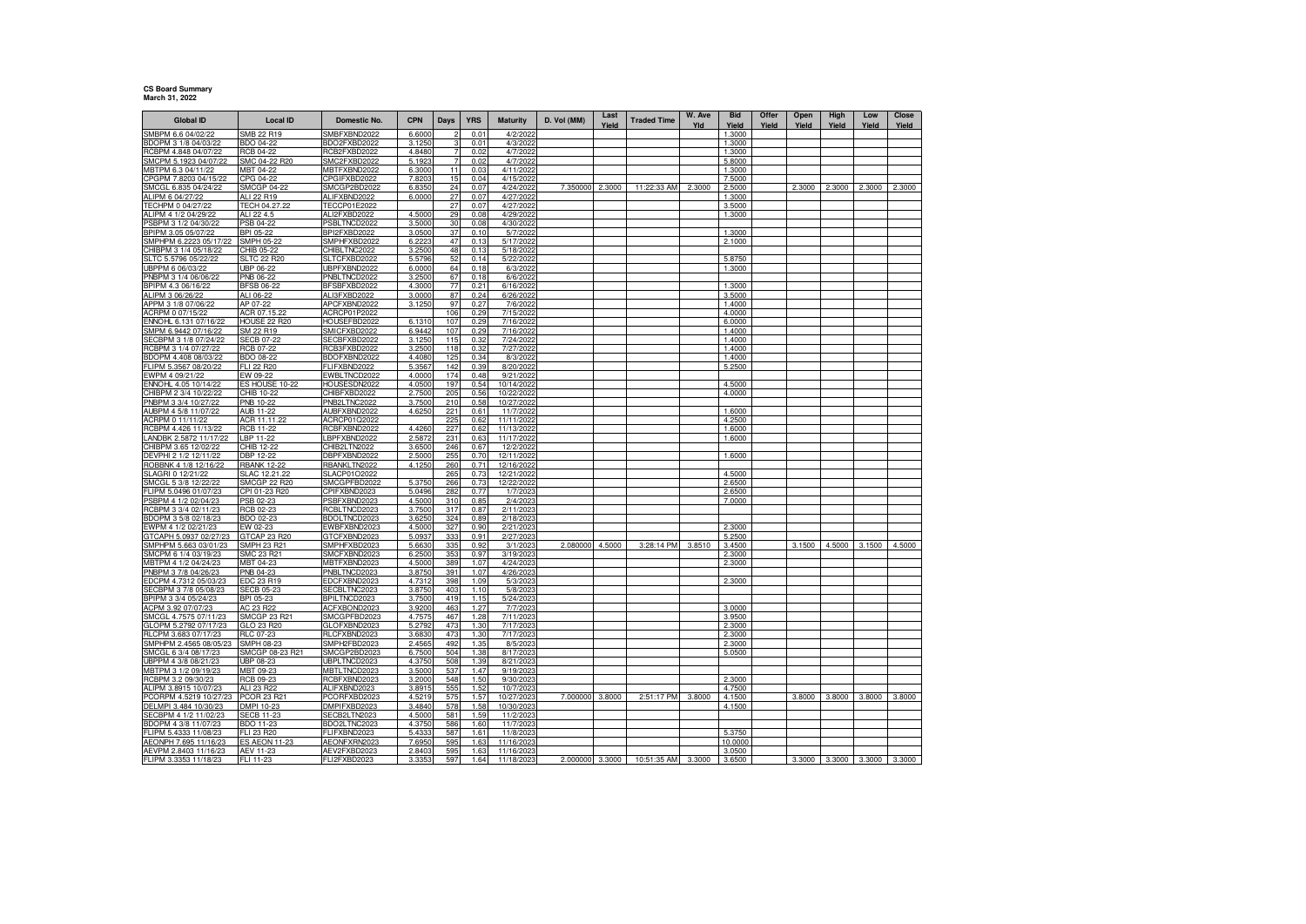## **CS Board Summary March 31, 2022**

| SMB 22 R19<br>SMBPM 6.6 04/02/22<br>SMBFXBND2022<br>6.6000<br>0.01<br>4/2/202<br>1.3000<br>3.1250<br><b>BDO 04-22</b><br>BDO2FXBD2022<br>3<br>0.01<br>4/3/2022<br>1.3000<br><b>RCB 04-22</b><br>RCB2FXBD2022<br>4.8480<br>0.02<br>4/7/2022<br>1.3000<br>SMCPM 5.1923 04/07/22<br>SMC 04-22 R20<br>5.1923<br>4/7/202<br>SMC2FXBD2022<br>0.02<br>5.8000<br>MBTPM 6.3 04/11/22<br>MBT 04-22<br>MBTFXBND2022<br>6.3000<br>11<br>0.03<br>4/11/2022<br>1.3000<br>CPGPM 7.8203 04/15/22<br>CPG 04-22<br>7.8203<br>15<br>4/15/2022<br>7.5000<br>CPGIFXBD2022<br>0.04<br><b>SMCGP 04-22</b><br>7.350000<br>2.3000<br>11:22:33 AM<br>2.3000<br>2.3000<br>2.3000<br>2.3000<br>SMCGL 6.835 04/24/22<br>SMCGP2BD2022<br>24<br>0.07<br>4/24/2022<br>2.5000<br>2.3000<br>6.8350<br>ALI 22 R19<br>ALIFXBND2022<br>6.0000<br>27<br>0.07<br>4/27/2022<br>1.3000<br>TECH 04.27.22<br><b>TECCP01E2022</b><br>27<br>0.07<br>4/27/2022<br>3.5000<br>ALIPM 4 1/2 04/29/22<br>ALI 22 4.5<br>ALI2FXBD2022<br>4.500<br>29<br>0.08<br>4/29/202<br>1.3000<br>PSBPM 3 1/2 04/30/22<br>PSB 04-22<br>PSBLTNCD2022<br>3.5000<br>30<br>4/30/2022<br>0.08<br>BPIPM 3.05 05/07/22<br>BPI 05-22<br>BPI2FXBD2022<br>3.0500<br>37<br>0.10<br>5/7/2022<br>1.3000<br>SMPHPM 6.2223 05/17/22<br>SMPH 05-22<br>SMPHFXBD2022<br>6.2223<br>47<br>0.13<br>5/17/2022<br>2.1000<br>CHIBPM 3 1/4 05/18/22<br>CHIB 05-22<br>CHIBLTNC2022<br>3.2500<br>48<br>0.13<br>5/18/2022<br><b>SLTC 22 R20</b><br>SLTCFXBD2022<br>5.5796<br>52<br>0.14<br>5/22/202<br>5.8750<br>UBP 06-22<br>UBPFXBND2022<br>6.0000<br>64<br>0.18<br>6/3/202<br>1.3000<br>3.2500<br>PNBPM 3 1/4 06/06/22<br>PNB 06-22<br>PNBLTNCD2022<br>67<br>0.18<br>6/6/2022<br>BPIPM 4.3 06/16/22<br>4.3000<br>77<br>0.21<br>6/16/2022<br>1.3000<br><b>BFSB 06-22</b><br>BFSBFXBD2022<br>ALIPM 3 06/26/22<br>0.24<br>ALI 06-22<br>ALI3FXBD2022<br>3.0000<br>87<br>6/26/2022<br>3.5000<br>APPM 3 1/8 07/06/22<br>97<br>AP 07-22<br>APCFXBND2022<br>3.1250<br>0.27<br>7/6/202<br>1.4000<br>ACR 07.15.22<br>ACRCP01P2022<br>106<br>0.29<br>7/15/202<br>4.0000<br><b>HOUSE 22 R20</b><br>HOUSEFBD2022<br>6.1310<br>107<br>0.29<br>6.0000<br>7/16/202<br>107<br>0.29<br>SM 22 R19<br>SMICFXBD2022<br>6.9442<br>7/16/2022<br>1.4000<br>SECBPM 3 1/8 07/24/22<br><b>SECB 07-22</b><br>SECBFXBD2022<br>3.1250<br>115<br>0.32<br>7/24/2022<br>1.4000<br>RCBPM 3 1/4 07/27/22<br>RCB 07-22<br>RCB3FXBD2022<br>3.2500<br>118<br>0.32<br>7/27/2022<br>1.4000<br>BDOPM 4.408 08/03/22<br>BDOFXBND2022<br>4.4080<br>125<br>BDO 08-22<br>0.34<br>8/3/2022<br>1.4000<br>0.39<br>FLIPM 5.3567 08/20/22<br>FLI 22 R20<br>FLIFXBND2022<br>5.3567<br>142<br>8/20/2022<br>5.2500<br>EWBLTNCD2022<br>174<br>EW 09-22<br>4.0000<br>0.48<br>9/21/2022<br>197<br>4.5000<br>ES HOUSE 10-22<br>HOUSESDN2022<br>0.54<br>10/14/2022<br>4.0500<br>CHIBPM 2 3/4 10/22/22<br>205<br>CHIB 10-22<br>CHIBFXBD2022<br>2.7500<br>0.56<br>10/22/2022<br>4.0000<br>PNBPM 3 3/4 10/27/22<br>PNB 10-22<br>PNB2LTNC2022<br>3.7500<br>210<br>0.58<br>10/27/2022<br>AUBPM 4 5/8 11/07/22<br>AUB 11-22<br>AUBFXBND2022<br>4.6250<br>221<br>0.61<br>11/7/2022<br>1.6000<br>ACRPM 0 11/11/22<br>ACR 11.11.22<br>ACRCP01Q2022<br>225<br>0.62<br>11/11/2022<br>4.2500<br><b>RCB 11-22</b><br>RCBFXBND2022<br>4.4260<br>227<br>11/13/2022<br>0.62<br>1.6000<br>LBPFXBND2022<br>11/17/2022<br>LBP 11-22<br>2.5872<br>231<br>0.63<br>1.6000<br>CHIB 12-22<br>CHIB2LTN2022<br>3.6500<br>246<br>0.67<br>12/2/2022<br>DEVPHI 2 1/2 12/11/22<br>DBP 12-22<br>DBPFXBND2022<br>2.500<br>25<br>0.70<br>12/11/202<br>1.6000<br><b>RBANK 12-22</b><br>RBANKLTN2022<br>4.1250<br>260<br>0.71<br>12/16/2022<br>ROBBNK 4 1/8 12/16/22<br>265<br>12/21/2022<br>SLAGRI 0 12/21/22<br>SLAC 12.21.22<br>SLACP01O2022<br>0.73<br>4.5000<br>5.3750<br>0.73<br>SMCGP 22 R20<br>266<br>12/22/2022<br>2.6500<br>SMCGL 5 3/8 12/22/22<br>SMCGPFBD2022<br>282<br>CPI 01-23 R20<br>CPIFXBND2023<br>5.0496<br>0.77<br>1/7/2023<br>2.6500<br>4.5000<br>310<br>2/4/202<br>PSB 02-23<br>PSBFXBND2023<br>0.85<br>7.0000<br>RCBPM 3 3/4 02/11/23<br>RCBLTNCD2023<br>317<br>RCB 02-23<br>3.7500<br>0.87<br>2/11/202<br>BDOPM 3 5/8 02/18/23<br>BDO 02-23<br>BDOLTNCD2023<br>3.6250<br>324<br>0.89<br>2/18/202<br>4.5000<br>327<br>2/21/202<br>2.3000<br>EWPM 4 1/2 02/21/23<br>EW 02-23<br>EWBFXBND2023<br>0.90<br>333<br>GTCAPH 5.0937 02/27/23<br>GTCAP 23 R20<br>GTCFXBND2023<br>5.0937<br>0.91<br>2/27/2023<br>5.2500<br>SMPH 23 R21<br>335<br>2.080000<br>4.5000<br>3:28:14 PM<br>3.8510<br>3.1500<br>4.5000<br>3.1500<br>4.5000<br>SMPHPM 5.663 03/01/23<br>SMPHFXBD2023<br>5.6630<br>0.92<br>3/1/202<br>3.4500<br>SMC 23 R21<br>SMCFXBND2023<br>6.2500<br>353<br>0.97<br>3/19/202<br>2.3000<br>MBTPM 4 1/2 04/24/23<br>389<br>MBT 04-23<br>MBTFXBND2023<br>4.5000<br>1.07<br>4/24/2023<br>2.3000<br>PNBPM 3 7/8 04/26/23<br>PNB 04-23<br>PNBLTNCD2023<br>3.8750<br>391<br>1.07<br>4/26/2023<br>EDCPM 4.7312 05/03/23<br>2.3000<br>EDC 23 R19<br>EDCFXBND2023<br>4.7312<br>398<br>1.09<br>5/3/2023<br>SECBPM 3 7/8 05/08/23<br>SECBLTNC2023<br>3.8750<br>403<br>5/8/2023<br><b>SECB 05-23</b><br>1.10<br>BPI 05-23<br>BPILTNCD2023<br>3.7500<br>419<br>1.15<br>5/24/202<br>AC 23 R22<br>ACFXBOND2023<br>3.9200<br>463<br>1.27<br>7/7/202<br>3.0000<br>SMCGL 4.7575 07/11/23<br><b>SMCGP 23 R21</b><br>SMCGPFBD2023<br>4.7575<br>467<br>1.28<br>7/11/202<br>3.9500<br>GLOPM 5.2792 07/17/23<br>5.2792<br>GLO 23 R20<br>GLOFXBND2023<br>473<br>1.30<br>7/17/2023<br>2.3000<br>RLCFXBND2023<br>RLCPM 3.683 07/17/23<br>RLC 07-23<br>3.6830<br>473<br>1.30<br>7/17/2023<br>2.3000<br>SMPHPM 2.4565 08/05/23<br>SMPH 08-23<br>SMPH2FBD2023<br>2.4565<br>49<br>1.35<br>8/5/202<br>2.3000<br>SMCGL 6 3/4 08/17/23<br>SMCGP 08-23 R21<br>SMCGP2BD2023<br>6.7500<br>504<br>1.38<br>8/17/202<br>5.0500<br>UBP 08-23<br>4.3750<br>508<br>1.39<br>8/21/202<br>UBPLTNCD2023<br>MBTLTNCD2023<br>537<br>MBT 09-23<br>3.5000<br>1.47<br>9/19/2023<br>RCBPM 3.2 09/30/23<br>RCBFXBND2023<br>548<br>1.50<br>2.3000<br>RCB 09-23<br>3.2000<br>9/30/2023<br>ALIPM 3.8915 10/07/23<br>555<br>ALI 23 R22<br>ALIFXBND2023<br>3.8915<br>1.52<br>10/7/2023<br>4.7500<br>PCORPM 4.5219 10/27/23<br>PCORFXBD2023<br>4.5219<br>575<br><b>PCOR 23 R2</b><br>1.57<br>10/27/2023<br>7.000000 3.8000<br>2:51:17 PM<br>3.8000<br>4.1500<br>3.8000<br>3.8000<br>3.8000<br>3.8000<br>DELMPI 3.484 10/30/23<br>DMPI 10-23<br>DMPIFXBD2023<br>3.4840<br>578<br>1.58<br>10/30/202<br>4.1500<br>581<br>1.59<br><b>SECB 11-23</b><br>SECB2LTN2023<br>4.5000<br>11/2/202<br>BDO2LTNC2023<br>4.3750<br>586<br>11/7/2023<br>BDO 11-23<br>1.60<br>5.4333<br>587<br>5.3750<br>FLI 23 R20<br>FLIFXBND2023<br>1.61<br>11/8/2023<br>AEONPH 7.695 11/16/23<br><b>ES AEON 11-23</b><br>AEONFXRN2023<br>7.6950<br>595<br>1.63<br>11/16/202<br>10.0000<br>AEVPM 2.8403 11/16/23<br>AEV2FXBD2023<br>595<br>1.63<br>AEV 11-23<br>2.8403<br>11/16/2023<br>3.0500<br>FLI 11-23<br>FLI2FXBD2023<br>3.3353<br>597<br>1.64<br>3.3000<br>3.3000<br>11/18/2023<br>2.000000 3.3000<br>10:51:35 AM<br>3.6500<br>3.3000 3.3000<br>3.3000 | <b>Global ID</b>       | <b>Local ID</b> | Domestic No. | <b>CPN</b> | Days | <b>YRS</b> | Maturity | D. Vol (MM) | Last<br>Yield | <b>Traded Time</b> | W. Ave<br>Yld | <b>Bid</b><br>Yield | Offer<br>Yield | Open<br>Yield | High<br>Yield | Low<br>Yield | <b>Close</b><br>Yield |
|-----------------------------------------------------------------------------------------------------------------------------------------------------------------------------------------------------------------------------------------------------------------------------------------------------------------------------------------------------------------------------------------------------------------------------------------------------------------------------------------------------------------------------------------------------------------------------------------------------------------------------------------------------------------------------------------------------------------------------------------------------------------------------------------------------------------------------------------------------------------------------------------------------------------------------------------------------------------------------------------------------------------------------------------------------------------------------------------------------------------------------------------------------------------------------------------------------------------------------------------------------------------------------------------------------------------------------------------------------------------------------------------------------------------------------------------------------------------------------------------------------------------------------------------------------------------------------------------------------------------------------------------------------------------------------------------------------------------------------------------------------------------------------------------------------------------------------------------------------------------------------------------------------------------------------------------------------------------------------------------------------------------------------------------------------------------------------------------------------------------------------------------------------------------------------------------------------------------------------------------------------------------------------------------------------------------------------------------------------------------------------------------------------------------------------------------------------------------------------------------------------------------------------------------------------------------------------------------------------------------------------------------------------------------------------------------------------------------------------------------------------------------------------------------------------------------------------------------------------------------------------------------------------------------------------------------------------------------------------------------------------------------------------------------------------------------------------------------------------------------------------------------------------------------------------------------------------------------------------------------------------------------------------------------------------------------------------------------------------------------------------------------------------------------------------------------------------------------------------------------------------------------------------------------------------------------------------------------------------------------------------------------------------------------------------------------------------------------------------------------------------------------------------------------------------------------------------------------------------------------------------------------------------------------------------------------------------------------------------------------------------------------------------------------------------------------------------------------------------------------------------------------------------------------------------------------------------------------------------------------------------------------------------------------------------------------------------------------------------------------------------------------------------------------------------------------------------------------------------------------------------------------------------------------------------------------------------------------------------------------------------------------------------------------------------------------------------------------------------------------------------------------------------------------------------------------------------------------------------------------------------------------------------------------------------------------------------------------------------------------------------------------------------------------------------------------------------------------------------------------------------------------------------------------------------------------------------------------------------------------------------------------------------------------------------------------------------------------------------------------------------------------------------------------------------------------------------------------------------------------------------------------------------------------------------------------------------------------------------------------------------------------------------------------------------------------------------------------------------------------------------------------------------------------------------------------------------------------------------------------------------------------------------------------------------------------------------------------------------------------------------------------------------------------------------------------------------------------------------------------------------------------------------------------------------------------------------------------------------------------------------------------------------------------------------------------------------------------------------------------------------------------------------------------------------------------------------------------------------------------------------------------------------------------------------------------------------------------------------------------------------------------------------------------------------------------------------------------------------------------------------------------------------------------------------------------------------------------------------------------------------------------------------------------------------------------------------------------------------------------------------------------------------------------------------------------------------------------------------|------------------------|-----------------|--------------|------------|------|------------|----------|-------------|---------------|--------------------|---------------|---------------------|----------------|---------------|---------------|--------------|-----------------------|
|                                                                                                                                                                                                                                                                                                                                                                                                                                                                                                                                                                                                                                                                                                                                                                                                                                                                                                                                                                                                                                                                                                                                                                                                                                                                                                                                                                                                                                                                                                                                                                                                                                                                                                                                                                                                                                                                                                                                                                                                                                                                                                                                                                                                                                                                                                                                                                                                                                                                                                                                                                                                                                                                                                                                                                                                                                                                                                                                                                                                                                                                                                                                                                                                                                                                                                                                                                                                                                                                                                                                                                                                                                                                                                                                                                                                                                                                                                                                                                                                                                                                                                                                                                                                                                                                                                                                                                                                                                                                                                                                                                                                                                                                                                                                                                                                                                                                                                                                                                                                                                                                                                                                                                                                                                                                                                                                                                                                                                                                                                                                                                                                                                                                                                                                                                                                                                                                                                                                                                                                                                                                                                                                                                                                                                                                                                                                                                                                                                                                                                                                                                                                                                                                                                                                                                                                                                                                                                                                                                                                                                                                                                     |                        |                 |              |            |      |            |          |             |               |                    |               |                     |                |               |               |              |                       |
|                                                                                                                                                                                                                                                                                                                                                                                                                                                                                                                                                                                                                                                                                                                                                                                                                                                                                                                                                                                                                                                                                                                                                                                                                                                                                                                                                                                                                                                                                                                                                                                                                                                                                                                                                                                                                                                                                                                                                                                                                                                                                                                                                                                                                                                                                                                                                                                                                                                                                                                                                                                                                                                                                                                                                                                                                                                                                                                                                                                                                                                                                                                                                                                                                                                                                                                                                                                                                                                                                                                                                                                                                                                                                                                                                                                                                                                                                                                                                                                                                                                                                                                                                                                                                                                                                                                                                                                                                                                                                                                                                                                                                                                                                                                                                                                                                                                                                                                                                                                                                                                                                                                                                                                                                                                                                                                                                                                                                                                                                                                                                                                                                                                                                                                                                                                                                                                                                                                                                                                                                                                                                                                                                                                                                                                                                                                                                                                                                                                                                                                                                                                                                                                                                                                                                                                                                                                                                                                                                                                                                                                                                                     | BDOPM 3 1/8 04/03/22   |                 |              |            |      |            |          |             |               |                    |               |                     |                |               |               |              |                       |
|                                                                                                                                                                                                                                                                                                                                                                                                                                                                                                                                                                                                                                                                                                                                                                                                                                                                                                                                                                                                                                                                                                                                                                                                                                                                                                                                                                                                                                                                                                                                                                                                                                                                                                                                                                                                                                                                                                                                                                                                                                                                                                                                                                                                                                                                                                                                                                                                                                                                                                                                                                                                                                                                                                                                                                                                                                                                                                                                                                                                                                                                                                                                                                                                                                                                                                                                                                                                                                                                                                                                                                                                                                                                                                                                                                                                                                                                                                                                                                                                                                                                                                                                                                                                                                                                                                                                                                                                                                                                                                                                                                                                                                                                                                                                                                                                                                                                                                                                                                                                                                                                                                                                                                                                                                                                                                                                                                                                                                                                                                                                                                                                                                                                                                                                                                                                                                                                                                                                                                                                                                                                                                                                                                                                                                                                                                                                                                                                                                                                                                                                                                                                                                                                                                                                                                                                                                                                                                                                                                                                                                                                                                     | RCBPM 4.848 04/07/22   |                 |              |            |      |            |          |             |               |                    |               |                     |                |               |               |              |                       |
|                                                                                                                                                                                                                                                                                                                                                                                                                                                                                                                                                                                                                                                                                                                                                                                                                                                                                                                                                                                                                                                                                                                                                                                                                                                                                                                                                                                                                                                                                                                                                                                                                                                                                                                                                                                                                                                                                                                                                                                                                                                                                                                                                                                                                                                                                                                                                                                                                                                                                                                                                                                                                                                                                                                                                                                                                                                                                                                                                                                                                                                                                                                                                                                                                                                                                                                                                                                                                                                                                                                                                                                                                                                                                                                                                                                                                                                                                                                                                                                                                                                                                                                                                                                                                                                                                                                                                                                                                                                                                                                                                                                                                                                                                                                                                                                                                                                                                                                                                                                                                                                                                                                                                                                                                                                                                                                                                                                                                                                                                                                                                                                                                                                                                                                                                                                                                                                                                                                                                                                                                                                                                                                                                                                                                                                                                                                                                                                                                                                                                                                                                                                                                                                                                                                                                                                                                                                                                                                                                                                                                                                                                                     |                        |                 |              |            |      |            |          |             |               |                    |               |                     |                |               |               |              |                       |
|                                                                                                                                                                                                                                                                                                                                                                                                                                                                                                                                                                                                                                                                                                                                                                                                                                                                                                                                                                                                                                                                                                                                                                                                                                                                                                                                                                                                                                                                                                                                                                                                                                                                                                                                                                                                                                                                                                                                                                                                                                                                                                                                                                                                                                                                                                                                                                                                                                                                                                                                                                                                                                                                                                                                                                                                                                                                                                                                                                                                                                                                                                                                                                                                                                                                                                                                                                                                                                                                                                                                                                                                                                                                                                                                                                                                                                                                                                                                                                                                                                                                                                                                                                                                                                                                                                                                                                                                                                                                                                                                                                                                                                                                                                                                                                                                                                                                                                                                                                                                                                                                                                                                                                                                                                                                                                                                                                                                                                                                                                                                                                                                                                                                                                                                                                                                                                                                                                                                                                                                                                                                                                                                                                                                                                                                                                                                                                                                                                                                                                                                                                                                                                                                                                                                                                                                                                                                                                                                                                                                                                                                                                     |                        |                 |              |            |      |            |          |             |               |                    |               |                     |                |               |               |              |                       |
|                                                                                                                                                                                                                                                                                                                                                                                                                                                                                                                                                                                                                                                                                                                                                                                                                                                                                                                                                                                                                                                                                                                                                                                                                                                                                                                                                                                                                                                                                                                                                                                                                                                                                                                                                                                                                                                                                                                                                                                                                                                                                                                                                                                                                                                                                                                                                                                                                                                                                                                                                                                                                                                                                                                                                                                                                                                                                                                                                                                                                                                                                                                                                                                                                                                                                                                                                                                                                                                                                                                                                                                                                                                                                                                                                                                                                                                                                                                                                                                                                                                                                                                                                                                                                                                                                                                                                                                                                                                                                                                                                                                                                                                                                                                                                                                                                                                                                                                                                                                                                                                                                                                                                                                                                                                                                                                                                                                                                                                                                                                                                                                                                                                                                                                                                                                                                                                                                                                                                                                                                                                                                                                                                                                                                                                                                                                                                                                                                                                                                                                                                                                                                                                                                                                                                                                                                                                                                                                                                                                                                                                                                                     |                        |                 |              |            |      |            |          |             |               |                    |               |                     |                |               |               |              |                       |
|                                                                                                                                                                                                                                                                                                                                                                                                                                                                                                                                                                                                                                                                                                                                                                                                                                                                                                                                                                                                                                                                                                                                                                                                                                                                                                                                                                                                                                                                                                                                                                                                                                                                                                                                                                                                                                                                                                                                                                                                                                                                                                                                                                                                                                                                                                                                                                                                                                                                                                                                                                                                                                                                                                                                                                                                                                                                                                                                                                                                                                                                                                                                                                                                                                                                                                                                                                                                                                                                                                                                                                                                                                                                                                                                                                                                                                                                                                                                                                                                                                                                                                                                                                                                                                                                                                                                                                                                                                                                                                                                                                                                                                                                                                                                                                                                                                                                                                                                                                                                                                                                                                                                                                                                                                                                                                                                                                                                                                                                                                                                                                                                                                                                                                                                                                                                                                                                                                                                                                                                                                                                                                                                                                                                                                                                                                                                                                                                                                                                                                                                                                                                                                                                                                                                                                                                                                                                                                                                                                                                                                                                                                     | ALIPM 6 04/27/22       |                 |              |            |      |            |          |             |               |                    |               |                     |                |               |               |              |                       |
|                                                                                                                                                                                                                                                                                                                                                                                                                                                                                                                                                                                                                                                                                                                                                                                                                                                                                                                                                                                                                                                                                                                                                                                                                                                                                                                                                                                                                                                                                                                                                                                                                                                                                                                                                                                                                                                                                                                                                                                                                                                                                                                                                                                                                                                                                                                                                                                                                                                                                                                                                                                                                                                                                                                                                                                                                                                                                                                                                                                                                                                                                                                                                                                                                                                                                                                                                                                                                                                                                                                                                                                                                                                                                                                                                                                                                                                                                                                                                                                                                                                                                                                                                                                                                                                                                                                                                                                                                                                                                                                                                                                                                                                                                                                                                                                                                                                                                                                                                                                                                                                                                                                                                                                                                                                                                                                                                                                                                                                                                                                                                                                                                                                                                                                                                                                                                                                                                                                                                                                                                                                                                                                                                                                                                                                                                                                                                                                                                                                                                                                                                                                                                                                                                                                                                                                                                                                                                                                                                                                                                                                                                                     | TECHPM 0 04/27/22      |                 |              |            |      |            |          |             |               |                    |               |                     |                |               |               |              |                       |
|                                                                                                                                                                                                                                                                                                                                                                                                                                                                                                                                                                                                                                                                                                                                                                                                                                                                                                                                                                                                                                                                                                                                                                                                                                                                                                                                                                                                                                                                                                                                                                                                                                                                                                                                                                                                                                                                                                                                                                                                                                                                                                                                                                                                                                                                                                                                                                                                                                                                                                                                                                                                                                                                                                                                                                                                                                                                                                                                                                                                                                                                                                                                                                                                                                                                                                                                                                                                                                                                                                                                                                                                                                                                                                                                                                                                                                                                                                                                                                                                                                                                                                                                                                                                                                                                                                                                                                                                                                                                                                                                                                                                                                                                                                                                                                                                                                                                                                                                                                                                                                                                                                                                                                                                                                                                                                                                                                                                                                                                                                                                                                                                                                                                                                                                                                                                                                                                                                                                                                                                                                                                                                                                                                                                                                                                                                                                                                                                                                                                                                                                                                                                                                                                                                                                                                                                                                                                                                                                                                                                                                                                                                     |                        |                 |              |            |      |            |          |             |               |                    |               |                     |                |               |               |              |                       |
|                                                                                                                                                                                                                                                                                                                                                                                                                                                                                                                                                                                                                                                                                                                                                                                                                                                                                                                                                                                                                                                                                                                                                                                                                                                                                                                                                                                                                                                                                                                                                                                                                                                                                                                                                                                                                                                                                                                                                                                                                                                                                                                                                                                                                                                                                                                                                                                                                                                                                                                                                                                                                                                                                                                                                                                                                                                                                                                                                                                                                                                                                                                                                                                                                                                                                                                                                                                                                                                                                                                                                                                                                                                                                                                                                                                                                                                                                                                                                                                                                                                                                                                                                                                                                                                                                                                                                                                                                                                                                                                                                                                                                                                                                                                                                                                                                                                                                                                                                                                                                                                                                                                                                                                                                                                                                                                                                                                                                                                                                                                                                                                                                                                                                                                                                                                                                                                                                                                                                                                                                                                                                                                                                                                                                                                                                                                                                                                                                                                                                                                                                                                                                                                                                                                                                                                                                                                                                                                                                                                                                                                                                                     |                        |                 |              |            |      |            |          |             |               |                    |               |                     |                |               |               |              |                       |
|                                                                                                                                                                                                                                                                                                                                                                                                                                                                                                                                                                                                                                                                                                                                                                                                                                                                                                                                                                                                                                                                                                                                                                                                                                                                                                                                                                                                                                                                                                                                                                                                                                                                                                                                                                                                                                                                                                                                                                                                                                                                                                                                                                                                                                                                                                                                                                                                                                                                                                                                                                                                                                                                                                                                                                                                                                                                                                                                                                                                                                                                                                                                                                                                                                                                                                                                                                                                                                                                                                                                                                                                                                                                                                                                                                                                                                                                                                                                                                                                                                                                                                                                                                                                                                                                                                                                                                                                                                                                                                                                                                                                                                                                                                                                                                                                                                                                                                                                                                                                                                                                                                                                                                                                                                                                                                                                                                                                                                                                                                                                                                                                                                                                                                                                                                                                                                                                                                                                                                                                                                                                                                                                                                                                                                                                                                                                                                                                                                                                                                                                                                                                                                                                                                                                                                                                                                                                                                                                                                                                                                                                                                     |                        |                 |              |            |      |            |          |             |               |                    |               |                     |                |               |               |              |                       |
|                                                                                                                                                                                                                                                                                                                                                                                                                                                                                                                                                                                                                                                                                                                                                                                                                                                                                                                                                                                                                                                                                                                                                                                                                                                                                                                                                                                                                                                                                                                                                                                                                                                                                                                                                                                                                                                                                                                                                                                                                                                                                                                                                                                                                                                                                                                                                                                                                                                                                                                                                                                                                                                                                                                                                                                                                                                                                                                                                                                                                                                                                                                                                                                                                                                                                                                                                                                                                                                                                                                                                                                                                                                                                                                                                                                                                                                                                                                                                                                                                                                                                                                                                                                                                                                                                                                                                                                                                                                                                                                                                                                                                                                                                                                                                                                                                                                                                                                                                                                                                                                                                                                                                                                                                                                                                                                                                                                                                                                                                                                                                                                                                                                                                                                                                                                                                                                                                                                                                                                                                                                                                                                                                                                                                                                                                                                                                                                                                                                                                                                                                                                                                                                                                                                                                                                                                                                                                                                                                                                                                                                                                                     |                        |                 |              |            |      |            |          |             |               |                    |               |                     |                |               |               |              |                       |
|                                                                                                                                                                                                                                                                                                                                                                                                                                                                                                                                                                                                                                                                                                                                                                                                                                                                                                                                                                                                                                                                                                                                                                                                                                                                                                                                                                                                                                                                                                                                                                                                                                                                                                                                                                                                                                                                                                                                                                                                                                                                                                                                                                                                                                                                                                                                                                                                                                                                                                                                                                                                                                                                                                                                                                                                                                                                                                                                                                                                                                                                                                                                                                                                                                                                                                                                                                                                                                                                                                                                                                                                                                                                                                                                                                                                                                                                                                                                                                                                                                                                                                                                                                                                                                                                                                                                                                                                                                                                                                                                                                                                                                                                                                                                                                                                                                                                                                                                                                                                                                                                                                                                                                                                                                                                                                                                                                                                                                                                                                                                                                                                                                                                                                                                                                                                                                                                                                                                                                                                                                                                                                                                                                                                                                                                                                                                                                                                                                                                                                                                                                                                                                                                                                                                                                                                                                                                                                                                                                                                                                                                                                     | SLTC 5.5796 05/22/2    |                 |              |            |      |            |          |             |               |                    |               |                     |                |               |               |              |                       |
|                                                                                                                                                                                                                                                                                                                                                                                                                                                                                                                                                                                                                                                                                                                                                                                                                                                                                                                                                                                                                                                                                                                                                                                                                                                                                                                                                                                                                                                                                                                                                                                                                                                                                                                                                                                                                                                                                                                                                                                                                                                                                                                                                                                                                                                                                                                                                                                                                                                                                                                                                                                                                                                                                                                                                                                                                                                                                                                                                                                                                                                                                                                                                                                                                                                                                                                                                                                                                                                                                                                                                                                                                                                                                                                                                                                                                                                                                                                                                                                                                                                                                                                                                                                                                                                                                                                                                                                                                                                                                                                                                                                                                                                                                                                                                                                                                                                                                                                                                                                                                                                                                                                                                                                                                                                                                                                                                                                                                                                                                                                                                                                                                                                                                                                                                                                                                                                                                                                                                                                                                                                                                                                                                                                                                                                                                                                                                                                                                                                                                                                                                                                                                                                                                                                                                                                                                                                                                                                                                                                                                                                                                                     | UBPPM 6 06/03/22       |                 |              |            |      |            |          |             |               |                    |               |                     |                |               |               |              |                       |
|                                                                                                                                                                                                                                                                                                                                                                                                                                                                                                                                                                                                                                                                                                                                                                                                                                                                                                                                                                                                                                                                                                                                                                                                                                                                                                                                                                                                                                                                                                                                                                                                                                                                                                                                                                                                                                                                                                                                                                                                                                                                                                                                                                                                                                                                                                                                                                                                                                                                                                                                                                                                                                                                                                                                                                                                                                                                                                                                                                                                                                                                                                                                                                                                                                                                                                                                                                                                                                                                                                                                                                                                                                                                                                                                                                                                                                                                                                                                                                                                                                                                                                                                                                                                                                                                                                                                                                                                                                                                                                                                                                                                                                                                                                                                                                                                                                                                                                                                                                                                                                                                                                                                                                                                                                                                                                                                                                                                                                                                                                                                                                                                                                                                                                                                                                                                                                                                                                                                                                                                                                                                                                                                                                                                                                                                                                                                                                                                                                                                                                                                                                                                                                                                                                                                                                                                                                                                                                                                                                                                                                                                                                     |                        |                 |              |            |      |            |          |             |               |                    |               |                     |                |               |               |              |                       |
|                                                                                                                                                                                                                                                                                                                                                                                                                                                                                                                                                                                                                                                                                                                                                                                                                                                                                                                                                                                                                                                                                                                                                                                                                                                                                                                                                                                                                                                                                                                                                                                                                                                                                                                                                                                                                                                                                                                                                                                                                                                                                                                                                                                                                                                                                                                                                                                                                                                                                                                                                                                                                                                                                                                                                                                                                                                                                                                                                                                                                                                                                                                                                                                                                                                                                                                                                                                                                                                                                                                                                                                                                                                                                                                                                                                                                                                                                                                                                                                                                                                                                                                                                                                                                                                                                                                                                                                                                                                                                                                                                                                                                                                                                                                                                                                                                                                                                                                                                                                                                                                                                                                                                                                                                                                                                                                                                                                                                                                                                                                                                                                                                                                                                                                                                                                                                                                                                                                                                                                                                                                                                                                                                                                                                                                                                                                                                                                                                                                                                                                                                                                                                                                                                                                                                                                                                                                                                                                                                                                                                                                                                                     |                        |                 |              |            |      |            |          |             |               |                    |               |                     |                |               |               |              |                       |
|                                                                                                                                                                                                                                                                                                                                                                                                                                                                                                                                                                                                                                                                                                                                                                                                                                                                                                                                                                                                                                                                                                                                                                                                                                                                                                                                                                                                                                                                                                                                                                                                                                                                                                                                                                                                                                                                                                                                                                                                                                                                                                                                                                                                                                                                                                                                                                                                                                                                                                                                                                                                                                                                                                                                                                                                                                                                                                                                                                                                                                                                                                                                                                                                                                                                                                                                                                                                                                                                                                                                                                                                                                                                                                                                                                                                                                                                                                                                                                                                                                                                                                                                                                                                                                                                                                                                                                                                                                                                                                                                                                                                                                                                                                                                                                                                                                                                                                                                                                                                                                                                                                                                                                                                                                                                                                                                                                                                                                                                                                                                                                                                                                                                                                                                                                                                                                                                                                                                                                                                                                                                                                                                                                                                                                                                                                                                                                                                                                                                                                                                                                                                                                                                                                                                                                                                                                                                                                                                                                                                                                                                                                     |                        |                 |              |            |      |            |          |             |               |                    |               |                     |                |               |               |              |                       |
|                                                                                                                                                                                                                                                                                                                                                                                                                                                                                                                                                                                                                                                                                                                                                                                                                                                                                                                                                                                                                                                                                                                                                                                                                                                                                                                                                                                                                                                                                                                                                                                                                                                                                                                                                                                                                                                                                                                                                                                                                                                                                                                                                                                                                                                                                                                                                                                                                                                                                                                                                                                                                                                                                                                                                                                                                                                                                                                                                                                                                                                                                                                                                                                                                                                                                                                                                                                                                                                                                                                                                                                                                                                                                                                                                                                                                                                                                                                                                                                                                                                                                                                                                                                                                                                                                                                                                                                                                                                                                                                                                                                                                                                                                                                                                                                                                                                                                                                                                                                                                                                                                                                                                                                                                                                                                                                                                                                                                                                                                                                                                                                                                                                                                                                                                                                                                                                                                                                                                                                                                                                                                                                                                                                                                                                                                                                                                                                                                                                                                                                                                                                                                                                                                                                                                                                                                                                                                                                                                                                                                                                                                                     | ACRPM 0 07/15/22       |                 |              |            |      |            |          |             |               |                    |               |                     |                |               |               |              |                       |
|                                                                                                                                                                                                                                                                                                                                                                                                                                                                                                                                                                                                                                                                                                                                                                                                                                                                                                                                                                                                                                                                                                                                                                                                                                                                                                                                                                                                                                                                                                                                                                                                                                                                                                                                                                                                                                                                                                                                                                                                                                                                                                                                                                                                                                                                                                                                                                                                                                                                                                                                                                                                                                                                                                                                                                                                                                                                                                                                                                                                                                                                                                                                                                                                                                                                                                                                                                                                                                                                                                                                                                                                                                                                                                                                                                                                                                                                                                                                                                                                                                                                                                                                                                                                                                                                                                                                                                                                                                                                                                                                                                                                                                                                                                                                                                                                                                                                                                                                                                                                                                                                                                                                                                                                                                                                                                                                                                                                                                                                                                                                                                                                                                                                                                                                                                                                                                                                                                                                                                                                                                                                                                                                                                                                                                                                                                                                                                                                                                                                                                                                                                                                                                                                                                                                                                                                                                                                                                                                                                                                                                                                                                     | ENNOHL 6.131 07/16/22  |                 |              |            |      |            |          |             |               |                    |               |                     |                |               |               |              |                       |
|                                                                                                                                                                                                                                                                                                                                                                                                                                                                                                                                                                                                                                                                                                                                                                                                                                                                                                                                                                                                                                                                                                                                                                                                                                                                                                                                                                                                                                                                                                                                                                                                                                                                                                                                                                                                                                                                                                                                                                                                                                                                                                                                                                                                                                                                                                                                                                                                                                                                                                                                                                                                                                                                                                                                                                                                                                                                                                                                                                                                                                                                                                                                                                                                                                                                                                                                                                                                                                                                                                                                                                                                                                                                                                                                                                                                                                                                                                                                                                                                                                                                                                                                                                                                                                                                                                                                                                                                                                                                                                                                                                                                                                                                                                                                                                                                                                                                                                                                                                                                                                                                                                                                                                                                                                                                                                                                                                                                                                                                                                                                                                                                                                                                                                                                                                                                                                                                                                                                                                                                                                                                                                                                                                                                                                                                                                                                                                                                                                                                                                                                                                                                                                                                                                                                                                                                                                                                                                                                                                                                                                                                                                     | SMPM 6.9442 07/16/22   |                 |              |            |      |            |          |             |               |                    |               |                     |                |               |               |              |                       |
|                                                                                                                                                                                                                                                                                                                                                                                                                                                                                                                                                                                                                                                                                                                                                                                                                                                                                                                                                                                                                                                                                                                                                                                                                                                                                                                                                                                                                                                                                                                                                                                                                                                                                                                                                                                                                                                                                                                                                                                                                                                                                                                                                                                                                                                                                                                                                                                                                                                                                                                                                                                                                                                                                                                                                                                                                                                                                                                                                                                                                                                                                                                                                                                                                                                                                                                                                                                                                                                                                                                                                                                                                                                                                                                                                                                                                                                                                                                                                                                                                                                                                                                                                                                                                                                                                                                                                                                                                                                                                                                                                                                                                                                                                                                                                                                                                                                                                                                                                                                                                                                                                                                                                                                                                                                                                                                                                                                                                                                                                                                                                                                                                                                                                                                                                                                                                                                                                                                                                                                                                                                                                                                                                                                                                                                                                                                                                                                                                                                                                                                                                                                                                                                                                                                                                                                                                                                                                                                                                                                                                                                                                                     |                        |                 |              |            |      |            |          |             |               |                    |               |                     |                |               |               |              |                       |
|                                                                                                                                                                                                                                                                                                                                                                                                                                                                                                                                                                                                                                                                                                                                                                                                                                                                                                                                                                                                                                                                                                                                                                                                                                                                                                                                                                                                                                                                                                                                                                                                                                                                                                                                                                                                                                                                                                                                                                                                                                                                                                                                                                                                                                                                                                                                                                                                                                                                                                                                                                                                                                                                                                                                                                                                                                                                                                                                                                                                                                                                                                                                                                                                                                                                                                                                                                                                                                                                                                                                                                                                                                                                                                                                                                                                                                                                                                                                                                                                                                                                                                                                                                                                                                                                                                                                                                                                                                                                                                                                                                                                                                                                                                                                                                                                                                                                                                                                                                                                                                                                                                                                                                                                                                                                                                                                                                                                                                                                                                                                                                                                                                                                                                                                                                                                                                                                                                                                                                                                                                                                                                                                                                                                                                                                                                                                                                                                                                                                                                                                                                                                                                                                                                                                                                                                                                                                                                                                                                                                                                                                                                     |                        |                 |              |            |      |            |          |             |               |                    |               |                     |                |               |               |              |                       |
|                                                                                                                                                                                                                                                                                                                                                                                                                                                                                                                                                                                                                                                                                                                                                                                                                                                                                                                                                                                                                                                                                                                                                                                                                                                                                                                                                                                                                                                                                                                                                                                                                                                                                                                                                                                                                                                                                                                                                                                                                                                                                                                                                                                                                                                                                                                                                                                                                                                                                                                                                                                                                                                                                                                                                                                                                                                                                                                                                                                                                                                                                                                                                                                                                                                                                                                                                                                                                                                                                                                                                                                                                                                                                                                                                                                                                                                                                                                                                                                                                                                                                                                                                                                                                                                                                                                                                                                                                                                                                                                                                                                                                                                                                                                                                                                                                                                                                                                                                                                                                                                                                                                                                                                                                                                                                                                                                                                                                                                                                                                                                                                                                                                                                                                                                                                                                                                                                                                                                                                                                                                                                                                                                                                                                                                                                                                                                                                                                                                                                                                                                                                                                                                                                                                                                                                                                                                                                                                                                                                                                                                                                                     |                        |                 |              |            |      |            |          |             |               |                    |               |                     |                |               |               |              |                       |
|                                                                                                                                                                                                                                                                                                                                                                                                                                                                                                                                                                                                                                                                                                                                                                                                                                                                                                                                                                                                                                                                                                                                                                                                                                                                                                                                                                                                                                                                                                                                                                                                                                                                                                                                                                                                                                                                                                                                                                                                                                                                                                                                                                                                                                                                                                                                                                                                                                                                                                                                                                                                                                                                                                                                                                                                                                                                                                                                                                                                                                                                                                                                                                                                                                                                                                                                                                                                                                                                                                                                                                                                                                                                                                                                                                                                                                                                                                                                                                                                                                                                                                                                                                                                                                                                                                                                                                                                                                                                                                                                                                                                                                                                                                                                                                                                                                                                                                                                                                                                                                                                                                                                                                                                                                                                                                                                                                                                                                                                                                                                                                                                                                                                                                                                                                                                                                                                                                                                                                                                                                                                                                                                                                                                                                                                                                                                                                                                                                                                                                                                                                                                                                                                                                                                                                                                                                                                                                                                                                                                                                                                                                     | EWPM 4 09/21/22        |                 |              |            |      |            |          |             |               |                    |               |                     |                |               |               |              |                       |
|                                                                                                                                                                                                                                                                                                                                                                                                                                                                                                                                                                                                                                                                                                                                                                                                                                                                                                                                                                                                                                                                                                                                                                                                                                                                                                                                                                                                                                                                                                                                                                                                                                                                                                                                                                                                                                                                                                                                                                                                                                                                                                                                                                                                                                                                                                                                                                                                                                                                                                                                                                                                                                                                                                                                                                                                                                                                                                                                                                                                                                                                                                                                                                                                                                                                                                                                                                                                                                                                                                                                                                                                                                                                                                                                                                                                                                                                                                                                                                                                                                                                                                                                                                                                                                                                                                                                                                                                                                                                                                                                                                                                                                                                                                                                                                                                                                                                                                                                                                                                                                                                                                                                                                                                                                                                                                                                                                                                                                                                                                                                                                                                                                                                                                                                                                                                                                                                                                                                                                                                                                                                                                                                                                                                                                                                                                                                                                                                                                                                                                                                                                                                                                                                                                                                                                                                                                                                                                                                                                                                                                                                                                     | ENNOHL 4.05 10/14/22   |                 |              |            |      |            |          |             |               |                    |               |                     |                |               |               |              |                       |
|                                                                                                                                                                                                                                                                                                                                                                                                                                                                                                                                                                                                                                                                                                                                                                                                                                                                                                                                                                                                                                                                                                                                                                                                                                                                                                                                                                                                                                                                                                                                                                                                                                                                                                                                                                                                                                                                                                                                                                                                                                                                                                                                                                                                                                                                                                                                                                                                                                                                                                                                                                                                                                                                                                                                                                                                                                                                                                                                                                                                                                                                                                                                                                                                                                                                                                                                                                                                                                                                                                                                                                                                                                                                                                                                                                                                                                                                                                                                                                                                                                                                                                                                                                                                                                                                                                                                                                                                                                                                                                                                                                                                                                                                                                                                                                                                                                                                                                                                                                                                                                                                                                                                                                                                                                                                                                                                                                                                                                                                                                                                                                                                                                                                                                                                                                                                                                                                                                                                                                                                                                                                                                                                                                                                                                                                                                                                                                                                                                                                                                                                                                                                                                                                                                                                                                                                                                                                                                                                                                                                                                                                                                     |                        |                 |              |            |      |            |          |             |               |                    |               |                     |                |               |               |              |                       |
|                                                                                                                                                                                                                                                                                                                                                                                                                                                                                                                                                                                                                                                                                                                                                                                                                                                                                                                                                                                                                                                                                                                                                                                                                                                                                                                                                                                                                                                                                                                                                                                                                                                                                                                                                                                                                                                                                                                                                                                                                                                                                                                                                                                                                                                                                                                                                                                                                                                                                                                                                                                                                                                                                                                                                                                                                                                                                                                                                                                                                                                                                                                                                                                                                                                                                                                                                                                                                                                                                                                                                                                                                                                                                                                                                                                                                                                                                                                                                                                                                                                                                                                                                                                                                                                                                                                                                                                                                                                                                                                                                                                                                                                                                                                                                                                                                                                                                                                                                                                                                                                                                                                                                                                                                                                                                                                                                                                                                                                                                                                                                                                                                                                                                                                                                                                                                                                                                                                                                                                                                                                                                                                                                                                                                                                                                                                                                                                                                                                                                                                                                                                                                                                                                                                                                                                                                                                                                                                                                                                                                                                                                                     |                        |                 |              |            |      |            |          |             |               |                    |               |                     |                |               |               |              |                       |
|                                                                                                                                                                                                                                                                                                                                                                                                                                                                                                                                                                                                                                                                                                                                                                                                                                                                                                                                                                                                                                                                                                                                                                                                                                                                                                                                                                                                                                                                                                                                                                                                                                                                                                                                                                                                                                                                                                                                                                                                                                                                                                                                                                                                                                                                                                                                                                                                                                                                                                                                                                                                                                                                                                                                                                                                                                                                                                                                                                                                                                                                                                                                                                                                                                                                                                                                                                                                                                                                                                                                                                                                                                                                                                                                                                                                                                                                                                                                                                                                                                                                                                                                                                                                                                                                                                                                                                                                                                                                                                                                                                                                                                                                                                                                                                                                                                                                                                                                                                                                                                                                                                                                                                                                                                                                                                                                                                                                                                                                                                                                                                                                                                                                                                                                                                                                                                                                                                                                                                                                                                                                                                                                                                                                                                                                                                                                                                                                                                                                                                                                                                                                                                                                                                                                                                                                                                                                                                                                                                                                                                                                                                     |                        |                 |              |            |      |            |          |             |               |                    |               |                     |                |               |               |              |                       |
|                                                                                                                                                                                                                                                                                                                                                                                                                                                                                                                                                                                                                                                                                                                                                                                                                                                                                                                                                                                                                                                                                                                                                                                                                                                                                                                                                                                                                                                                                                                                                                                                                                                                                                                                                                                                                                                                                                                                                                                                                                                                                                                                                                                                                                                                                                                                                                                                                                                                                                                                                                                                                                                                                                                                                                                                                                                                                                                                                                                                                                                                                                                                                                                                                                                                                                                                                                                                                                                                                                                                                                                                                                                                                                                                                                                                                                                                                                                                                                                                                                                                                                                                                                                                                                                                                                                                                                                                                                                                                                                                                                                                                                                                                                                                                                                                                                                                                                                                                                                                                                                                                                                                                                                                                                                                                                                                                                                                                                                                                                                                                                                                                                                                                                                                                                                                                                                                                                                                                                                                                                                                                                                                                                                                                                                                                                                                                                                                                                                                                                                                                                                                                                                                                                                                                                                                                                                                                                                                                                                                                                                                                                     | RCBPM 4.426 11/13/22   |                 |              |            |      |            |          |             |               |                    |               |                     |                |               |               |              |                       |
|                                                                                                                                                                                                                                                                                                                                                                                                                                                                                                                                                                                                                                                                                                                                                                                                                                                                                                                                                                                                                                                                                                                                                                                                                                                                                                                                                                                                                                                                                                                                                                                                                                                                                                                                                                                                                                                                                                                                                                                                                                                                                                                                                                                                                                                                                                                                                                                                                                                                                                                                                                                                                                                                                                                                                                                                                                                                                                                                                                                                                                                                                                                                                                                                                                                                                                                                                                                                                                                                                                                                                                                                                                                                                                                                                                                                                                                                                                                                                                                                                                                                                                                                                                                                                                                                                                                                                                                                                                                                                                                                                                                                                                                                                                                                                                                                                                                                                                                                                                                                                                                                                                                                                                                                                                                                                                                                                                                                                                                                                                                                                                                                                                                                                                                                                                                                                                                                                                                                                                                                                                                                                                                                                                                                                                                                                                                                                                                                                                                                                                                                                                                                                                                                                                                                                                                                                                                                                                                                                                                                                                                                                                     | LANDBK 2.5872 11/17/22 |                 |              |            |      |            |          |             |               |                    |               |                     |                |               |               |              |                       |
|                                                                                                                                                                                                                                                                                                                                                                                                                                                                                                                                                                                                                                                                                                                                                                                                                                                                                                                                                                                                                                                                                                                                                                                                                                                                                                                                                                                                                                                                                                                                                                                                                                                                                                                                                                                                                                                                                                                                                                                                                                                                                                                                                                                                                                                                                                                                                                                                                                                                                                                                                                                                                                                                                                                                                                                                                                                                                                                                                                                                                                                                                                                                                                                                                                                                                                                                                                                                                                                                                                                                                                                                                                                                                                                                                                                                                                                                                                                                                                                                                                                                                                                                                                                                                                                                                                                                                                                                                                                                                                                                                                                                                                                                                                                                                                                                                                                                                                                                                                                                                                                                                                                                                                                                                                                                                                                                                                                                                                                                                                                                                                                                                                                                                                                                                                                                                                                                                                                                                                                                                                                                                                                                                                                                                                                                                                                                                                                                                                                                                                                                                                                                                                                                                                                                                                                                                                                                                                                                                                                                                                                                                                     | CHIBPM 3.65 12/02/22   |                 |              |            |      |            |          |             |               |                    |               |                     |                |               |               |              |                       |
|                                                                                                                                                                                                                                                                                                                                                                                                                                                                                                                                                                                                                                                                                                                                                                                                                                                                                                                                                                                                                                                                                                                                                                                                                                                                                                                                                                                                                                                                                                                                                                                                                                                                                                                                                                                                                                                                                                                                                                                                                                                                                                                                                                                                                                                                                                                                                                                                                                                                                                                                                                                                                                                                                                                                                                                                                                                                                                                                                                                                                                                                                                                                                                                                                                                                                                                                                                                                                                                                                                                                                                                                                                                                                                                                                                                                                                                                                                                                                                                                                                                                                                                                                                                                                                                                                                                                                                                                                                                                                                                                                                                                                                                                                                                                                                                                                                                                                                                                                                                                                                                                                                                                                                                                                                                                                                                                                                                                                                                                                                                                                                                                                                                                                                                                                                                                                                                                                                                                                                                                                                                                                                                                                                                                                                                                                                                                                                                                                                                                                                                                                                                                                                                                                                                                                                                                                                                                                                                                                                                                                                                                                                     |                        |                 |              |            |      |            |          |             |               |                    |               |                     |                |               |               |              |                       |
|                                                                                                                                                                                                                                                                                                                                                                                                                                                                                                                                                                                                                                                                                                                                                                                                                                                                                                                                                                                                                                                                                                                                                                                                                                                                                                                                                                                                                                                                                                                                                                                                                                                                                                                                                                                                                                                                                                                                                                                                                                                                                                                                                                                                                                                                                                                                                                                                                                                                                                                                                                                                                                                                                                                                                                                                                                                                                                                                                                                                                                                                                                                                                                                                                                                                                                                                                                                                                                                                                                                                                                                                                                                                                                                                                                                                                                                                                                                                                                                                                                                                                                                                                                                                                                                                                                                                                                                                                                                                                                                                                                                                                                                                                                                                                                                                                                                                                                                                                                                                                                                                                                                                                                                                                                                                                                                                                                                                                                                                                                                                                                                                                                                                                                                                                                                                                                                                                                                                                                                                                                                                                                                                                                                                                                                                                                                                                                                                                                                                                                                                                                                                                                                                                                                                                                                                                                                                                                                                                                                                                                                                                                     |                        |                 |              |            |      |            |          |             |               |                    |               |                     |                |               |               |              |                       |
|                                                                                                                                                                                                                                                                                                                                                                                                                                                                                                                                                                                                                                                                                                                                                                                                                                                                                                                                                                                                                                                                                                                                                                                                                                                                                                                                                                                                                                                                                                                                                                                                                                                                                                                                                                                                                                                                                                                                                                                                                                                                                                                                                                                                                                                                                                                                                                                                                                                                                                                                                                                                                                                                                                                                                                                                                                                                                                                                                                                                                                                                                                                                                                                                                                                                                                                                                                                                                                                                                                                                                                                                                                                                                                                                                                                                                                                                                                                                                                                                                                                                                                                                                                                                                                                                                                                                                                                                                                                                                                                                                                                                                                                                                                                                                                                                                                                                                                                                                                                                                                                                                                                                                                                                                                                                                                                                                                                                                                                                                                                                                                                                                                                                                                                                                                                                                                                                                                                                                                                                                                                                                                                                                                                                                                                                                                                                                                                                                                                                                                                                                                                                                                                                                                                                                                                                                                                                                                                                                                                                                                                                                                     |                        |                 |              |            |      |            |          |             |               |                    |               |                     |                |               |               |              |                       |
|                                                                                                                                                                                                                                                                                                                                                                                                                                                                                                                                                                                                                                                                                                                                                                                                                                                                                                                                                                                                                                                                                                                                                                                                                                                                                                                                                                                                                                                                                                                                                                                                                                                                                                                                                                                                                                                                                                                                                                                                                                                                                                                                                                                                                                                                                                                                                                                                                                                                                                                                                                                                                                                                                                                                                                                                                                                                                                                                                                                                                                                                                                                                                                                                                                                                                                                                                                                                                                                                                                                                                                                                                                                                                                                                                                                                                                                                                                                                                                                                                                                                                                                                                                                                                                                                                                                                                                                                                                                                                                                                                                                                                                                                                                                                                                                                                                                                                                                                                                                                                                                                                                                                                                                                                                                                                                                                                                                                                                                                                                                                                                                                                                                                                                                                                                                                                                                                                                                                                                                                                                                                                                                                                                                                                                                                                                                                                                                                                                                                                                                                                                                                                                                                                                                                                                                                                                                                                                                                                                                                                                                                                                     | FLIPM 5.0496 01/07/23  |                 |              |            |      |            |          |             |               |                    |               |                     |                |               |               |              |                       |
|                                                                                                                                                                                                                                                                                                                                                                                                                                                                                                                                                                                                                                                                                                                                                                                                                                                                                                                                                                                                                                                                                                                                                                                                                                                                                                                                                                                                                                                                                                                                                                                                                                                                                                                                                                                                                                                                                                                                                                                                                                                                                                                                                                                                                                                                                                                                                                                                                                                                                                                                                                                                                                                                                                                                                                                                                                                                                                                                                                                                                                                                                                                                                                                                                                                                                                                                                                                                                                                                                                                                                                                                                                                                                                                                                                                                                                                                                                                                                                                                                                                                                                                                                                                                                                                                                                                                                                                                                                                                                                                                                                                                                                                                                                                                                                                                                                                                                                                                                                                                                                                                                                                                                                                                                                                                                                                                                                                                                                                                                                                                                                                                                                                                                                                                                                                                                                                                                                                                                                                                                                                                                                                                                                                                                                                                                                                                                                                                                                                                                                                                                                                                                                                                                                                                                                                                                                                                                                                                                                                                                                                                                                     | PSBPM 4 1/2 02/04/23   |                 |              |            |      |            |          |             |               |                    |               |                     |                |               |               |              |                       |
|                                                                                                                                                                                                                                                                                                                                                                                                                                                                                                                                                                                                                                                                                                                                                                                                                                                                                                                                                                                                                                                                                                                                                                                                                                                                                                                                                                                                                                                                                                                                                                                                                                                                                                                                                                                                                                                                                                                                                                                                                                                                                                                                                                                                                                                                                                                                                                                                                                                                                                                                                                                                                                                                                                                                                                                                                                                                                                                                                                                                                                                                                                                                                                                                                                                                                                                                                                                                                                                                                                                                                                                                                                                                                                                                                                                                                                                                                                                                                                                                                                                                                                                                                                                                                                                                                                                                                                                                                                                                                                                                                                                                                                                                                                                                                                                                                                                                                                                                                                                                                                                                                                                                                                                                                                                                                                                                                                                                                                                                                                                                                                                                                                                                                                                                                                                                                                                                                                                                                                                                                                                                                                                                                                                                                                                                                                                                                                                                                                                                                                                                                                                                                                                                                                                                                                                                                                                                                                                                                                                                                                                                                                     |                        |                 |              |            |      |            |          |             |               |                    |               |                     |                |               |               |              |                       |
|                                                                                                                                                                                                                                                                                                                                                                                                                                                                                                                                                                                                                                                                                                                                                                                                                                                                                                                                                                                                                                                                                                                                                                                                                                                                                                                                                                                                                                                                                                                                                                                                                                                                                                                                                                                                                                                                                                                                                                                                                                                                                                                                                                                                                                                                                                                                                                                                                                                                                                                                                                                                                                                                                                                                                                                                                                                                                                                                                                                                                                                                                                                                                                                                                                                                                                                                                                                                                                                                                                                                                                                                                                                                                                                                                                                                                                                                                                                                                                                                                                                                                                                                                                                                                                                                                                                                                                                                                                                                                                                                                                                                                                                                                                                                                                                                                                                                                                                                                                                                                                                                                                                                                                                                                                                                                                                                                                                                                                                                                                                                                                                                                                                                                                                                                                                                                                                                                                                                                                                                                                                                                                                                                                                                                                                                                                                                                                                                                                                                                                                                                                                                                                                                                                                                                                                                                                                                                                                                                                                                                                                                                                     |                        |                 |              |            |      |            |          |             |               |                    |               |                     |                |               |               |              |                       |
|                                                                                                                                                                                                                                                                                                                                                                                                                                                                                                                                                                                                                                                                                                                                                                                                                                                                                                                                                                                                                                                                                                                                                                                                                                                                                                                                                                                                                                                                                                                                                                                                                                                                                                                                                                                                                                                                                                                                                                                                                                                                                                                                                                                                                                                                                                                                                                                                                                                                                                                                                                                                                                                                                                                                                                                                                                                                                                                                                                                                                                                                                                                                                                                                                                                                                                                                                                                                                                                                                                                                                                                                                                                                                                                                                                                                                                                                                                                                                                                                                                                                                                                                                                                                                                                                                                                                                                                                                                                                                                                                                                                                                                                                                                                                                                                                                                                                                                                                                                                                                                                                                                                                                                                                                                                                                                                                                                                                                                                                                                                                                                                                                                                                                                                                                                                                                                                                                                                                                                                                                                                                                                                                                                                                                                                                                                                                                                                                                                                                                                                                                                                                                                                                                                                                                                                                                                                                                                                                                                                                                                                                                                     |                        |                 |              |            |      |            |          |             |               |                    |               |                     |                |               |               |              |                       |
|                                                                                                                                                                                                                                                                                                                                                                                                                                                                                                                                                                                                                                                                                                                                                                                                                                                                                                                                                                                                                                                                                                                                                                                                                                                                                                                                                                                                                                                                                                                                                                                                                                                                                                                                                                                                                                                                                                                                                                                                                                                                                                                                                                                                                                                                                                                                                                                                                                                                                                                                                                                                                                                                                                                                                                                                                                                                                                                                                                                                                                                                                                                                                                                                                                                                                                                                                                                                                                                                                                                                                                                                                                                                                                                                                                                                                                                                                                                                                                                                                                                                                                                                                                                                                                                                                                                                                                                                                                                                                                                                                                                                                                                                                                                                                                                                                                                                                                                                                                                                                                                                                                                                                                                                                                                                                                                                                                                                                                                                                                                                                                                                                                                                                                                                                                                                                                                                                                                                                                                                                                                                                                                                                                                                                                                                                                                                                                                                                                                                                                                                                                                                                                                                                                                                                                                                                                                                                                                                                                                                                                                                                                     |                        |                 |              |            |      |            |          |             |               |                    |               |                     |                |               |               |              |                       |
|                                                                                                                                                                                                                                                                                                                                                                                                                                                                                                                                                                                                                                                                                                                                                                                                                                                                                                                                                                                                                                                                                                                                                                                                                                                                                                                                                                                                                                                                                                                                                                                                                                                                                                                                                                                                                                                                                                                                                                                                                                                                                                                                                                                                                                                                                                                                                                                                                                                                                                                                                                                                                                                                                                                                                                                                                                                                                                                                                                                                                                                                                                                                                                                                                                                                                                                                                                                                                                                                                                                                                                                                                                                                                                                                                                                                                                                                                                                                                                                                                                                                                                                                                                                                                                                                                                                                                                                                                                                                                                                                                                                                                                                                                                                                                                                                                                                                                                                                                                                                                                                                                                                                                                                                                                                                                                                                                                                                                                                                                                                                                                                                                                                                                                                                                                                                                                                                                                                                                                                                                                                                                                                                                                                                                                                                                                                                                                                                                                                                                                                                                                                                                                                                                                                                                                                                                                                                                                                                                                                                                                                                                                     | SMCPM 6 1/4 03/19/23   |                 |              |            |      |            |          |             |               |                    |               |                     |                |               |               |              |                       |
|                                                                                                                                                                                                                                                                                                                                                                                                                                                                                                                                                                                                                                                                                                                                                                                                                                                                                                                                                                                                                                                                                                                                                                                                                                                                                                                                                                                                                                                                                                                                                                                                                                                                                                                                                                                                                                                                                                                                                                                                                                                                                                                                                                                                                                                                                                                                                                                                                                                                                                                                                                                                                                                                                                                                                                                                                                                                                                                                                                                                                                                                                                                                                                                                                                                                                                                                                                                                                                                                                                                                                                                                                                                                                                                                                                                                                                                                                                                                                                                                                                                                                                                                                                                                                                                                                                                                                                                                                                                                                                                                                                                                                                                                                                                                                                                                                                                                                                                                                                                                                                                                                                                                                                                                                                                                                                                                                                                                                                                                                                                                                                                                                                                                                                                                                                                                                                                                                                                                                                                                                                                                                                                                                                                                                                                                                                                                                                                                                                                                                                                                                                                                                                                                                                                                                                                                                                                                                                                                                                                                                                                                                                     |                        |                 |              |            |      |            |          |             |               |                    |               |                     |                |               |               |              |                       |
|                                                                                                                                                                                                                                                                                                                                                                                                                                                                                                                                                                                                                                                                                                                                                                                                                                                                                                                                                                                                                                                                                                                                                                                                                                                                                                                                                                                                                                                                                                                                                                                                                                                                                                                                                                                                                                                                                                                                                                                                                                                                                                                                                                                                                                                                                                                                                                                                                                                                                                                                                                                                                                                                                                                                                                                                                                                                                                                                                                                                                                                                                                                                                                                                                                                                                                                                                                                                                                                                                                                                                                                                                                                                                                                                                                                                                                                                                                                                                                                                                                                                                                                                                                                                                                                                                                                                                                                                                                                                                                                                                                                                                                                                                                                                                                                                                                                                                                                                                                                                                                                                                                                                                                                                                                                                                                                                                                                                                                                                                                                                                                                                                                                                                                                                                                                                                                                                                                                                                                                                                                                                                                                                                                                                                                                                                                                                                                                                                                                                                                                                                                                                                                                                                                                                                                                                                                                                                                                                                                                                                                                                                                     |                        |                 |              |            |      |            |          |             |               |                    |               |                     |                |               |               |              |                       |
|                                                                                                                                                                                                                                                                                                                                                                                                                                                                                                                                                                                                                                                                                                                                                                                                                                                                                                                                                                                                                                                                                                                                                                                                                                                                                                                                                                                                                                                                                                                                                                                                                                                                                                                                                                                                                                                                                                                                                                                                                                                                                                                                                                                                                                                                                                                                                                                                                                                                                                                                                                                                                                                                                                                                                                                                                                                                                                                                                                                                                                                                                                                                                                                                                                                                                                                                                                                                                                                                                                                                                                                                                                                                                                                                                                                                                                                                                                                                                                                                                                                                                                                                                                                                                                                                                                                                                                                                                                                                                                                                                                                                                                                                                                                                                                                                                                                                                                                                                                                                                                                                                                                                                                                                                                                                                                                                                                                                                                                                                                                                                                                                                                                                                                                                                                                                                                                                                                                                                                                                                                                                                                                                                                                                                                                                                                                                                                                                                                                                                                                                                                                                                                                                                                                                                                                                                                                                                                                                                                                                                                                                                                     |                        |                 |              |            |      |            |          |             |               |                    |               |                     |                |               |               |              |                       |
|                                                                                                                                                                                                                                                                                                                                                                                                                                                                                                                                                                                                                                                                                                                                                                                                                                                                                                                                                                                                                                                                                                                                                                                                                                                                                                                                                                                                                                                                                                                                                                                                                                                                                                                                                                                                                                                                                                                                                                                                                                                                                                                                                                                                                                                                                                                                                                                                                                                                                                                                                                                                                                                                                                                                                                                                                                                                                                                                                                                                                                                                                                                                                                                                                                                                                                                                                                                                                                                                                                                                                                                                                                                                                                                                                                                                                                                                                                                                                                                                                                                                                                                                                                                                                                                                                                                                                                                                                                                                                                                                                                                                                                                                                                                                                                                                                                                                                                                                                                                                                                                                                                                                                                                                                                                                                                                                                                                                                                                                                                                                                                                                                                                                                                                                                                                                                                                                                                                                                                                                                                                                                                                                                                                                                                                                                                                                                                                                                                                                                                                                                                                                                                                                                                                                                                                                                                                                                                                                                                                                                                                                                                     | BPIPM 3 3/4 05/24/23   |                 |              |            |      |            |          |             |               |                    |               |                     |                |               |               |              |                       |
|                                                                                                                                                                                                                                                                                                                                                                                                                                                                                                                                                                                                                                                                                                                                                                                                                                                                                                                                                                                                                                                                                                                                                                                                                                                                                                                                                                                                                                                                                                                                                                                                                                                                                                                                                                                                                                                                                                                                                                                                                                                                                                                                                                                                                                                                                                                                                                                                                                                                                                                                                                                                                                                                                                                                                                                                                                                                                                                                                                                                                                                                                                                                                                                                                                                                                                                                                                                                                                                                                                                                                                                                                                                                                                                                                                                                                                                                                                                                                                                                                                                                                                                                                                                                                                                                                                                                                                                                                                                                                                                                                                                                                                                                                                                                                                                                                                                                                                                                                                                                                                                                                                                                                                                                                                                                                                                                                                                                                                                                                                                                                                                                                                                                                                                                                                                                                                                                                                                                                                                                                                                                                                                                                                                                                                                                                                                                                                                                                                                                                                                                                                                                                                                                                                                                                                                                                                                                                                                                                                                                                                                                                                     | ACPM 3.92 07/07/23     |                 |              |            |      |            |          |             |               |                    |               |                     |                |               |               |              |                       |
|                                                                                                                                                                                                                                                                                                                                                                                                                                                                                                                                                                                                                                                                                                                                                                                                                                                                                                                                                                                                                                                                                                                                                                                                                                                                                                                                                                                                                                                                                                                                                                                                                                                                                                                                                                                                                                                                                                                                                                                                                                                                                                                                                                                                                                                                                                                                                                                                                                                                                                                                                                                                                                                                                                                                                                                                                                                                                                                                                                                                                                                                                                                                                                                                                                                                                                                                                                                                                                                                                                                                                                                                                                                                                                                                                                                                                                                                                                                                                                                                                                                                                                                                                                                                                                                                                                                                                                                                                                                                                                                                                                                                                                                                                                                                                                                                                                                                                                                                                                                                                                                                                                                                                                                                                                                                                                                                                                                                                                                                                                                                                                                                                                                                                                                                                                                                                                                                                                                                                                                                                                                                                                                                                                                                                                                                                                                                                                                                                                                                                                                                                                                                                                                                                                                                                                                                                                                                                                                                                                                                                                                                                                     |                        |                 |              |            |      |            |          |             |               |                    |               |                     |                |               |               |              |                       |
|                                                                                                                                                                                                                                                                                                                                                                                                                                                                                                                                                                                                                                                                                                                                                                                                                                                                                                                                                                                                                                                                                                                                                                                                                                                                                                                                                                                                                                                                                                                                                                                                                                                                                                                                                                                                                                                                                                                                                                                                                                                                                                                                                                                                                                                                                                                                                                                                                                                                                                                                                                                                                                                                                                                                                                                                                                                                                                                                                                                                                                                                                                                                                                                                                                                                                                                                                                                                                                                                                                                                                                                                                                                                                                                                                                                                                                                                                                                                                                                                                                                                                                                                                                                                                                                                                                                                                                                                                                                                                                                                                                                                                                                                                                                                                                                                                                                                                                                                                                                                                                                                                                                                                                                                                                                                                                                                                                                                                                                                                                                                                                                                                                                                                                                                                                                                                                                                                                                                                                                                                                                                                                                                                                                                                                                                                                                                                                                                                                                                                                                                                                                                                                                                                                                                                                                                                                                                                                                                                                                                                                                                                                     |                        |                 |              |            |      |            |          |             |               |                    |               |                     |                |               |               |              |                       |
|                                                                                                                                                                                                                                                                                                                                                                                                                                                                                                                                                                                                                                                                                                                                                                                                                                                                                                                                                                                                                                                                                                                                                                                                                                                                                                                                                                                                                                                                                                                                                                                                                                                                                                                                                                                                                                                                                                                                                                                                                                                                                                                                                                                                                                                                                                                                                                                                                                                                                                                                                                                                                                                                                                                                                                                                                                                                                                                                                                                                                                                                                                                                                                                                                                                                                                                                                                                                                                                                                                                                                                                                                                                                                                                                                                                                                                                                                                                                                                                                                                                                                                                                                                                                                                                                                                                                                                                                                                                                                                                                                                                                                                                                                                                                                                                                                                                                                                                                                                                                                                                                                                                                                                                                                                                                                                                                                                                                                                                                                                                                                                                                                                                                                                                                                                                                                                                                                                                                                                                                                                                                                                                                                                                                                                                                                                                                                                                                                                                                                                                                                                                                                                                                                                                                                                                                                                                                                                                                                                                                                                                                                                     |                        |                 |              |            |      |            |          |             |               |                    |               |                     |                |               |               |              |                       |
|                                                                                                                                                                                                                                                                                                                                                                                                                                                                                                                                                                                                                                                                                                                                                                                                                                                                                                                                                                                                                                                                                                                                                                                                                                                                                                                                                                                                                                                                                                                                                                                                                                                                                                                                                                                                                                                                                                                                                                                                                                                                                                                                                                                                                                                                                                                                                                                                                                                                                                                                                                                                                                                                                                                                                                                                                                                                                                                                                                                                                                                                                                                                                                                                                                                                                                                                                                                                                                                                                                                                                                                                                                                                                                                                                                                                                                                                                                                                                                                                                                                                                                                                                                                                                                                                                                                                                                                                                                                                                                                                                                                                                                                                                                                                                                                                                                                                                                                                                                                                                                                                                                                                                                                                                                                                                                                                                                                                                                                                                                                                                                                                                                                                                                                                                                                                                                                                                                                                                                                                                                                                                                                                                                                                                                                                                                                                                                                                                                                                                                                                                                                                                                                                                                                                                                                                                                                                                                                                                                                                                                                                                                     |                        |                 |              |            |      |            |          |             |               |                    |               |                     |                |               |               |              |                       |
|                                                                                                                                                                                                                                                                                                                                                                                                                                                                                                                                                                                                                                                                                                                                                                                                                                                                                                                                                                                                                                                                                                                                                                                                                                                                                                                                                                                                                                                                                                                                                                                                                                                                                                                                                                                                                                                                                                                                                                                                                                                                                                                                                                                                                                                                                                                                                                                                                                                                                                                                                                                                                                                                                                                                                                                                                                                                                                                                                                                                                                                                                                                                                                                                                                                                                                                                                                                                                                                                                                                                                                                                                                                                                                                                                                                                                                                                                                                                                                                                                                                                                                                                                                                                                                                                                                                                                                                                                                                                                                                                                                                                                                                                                                                                                                                                                                                                                                                                                                                                                                                                                                                                                                                                                                                                                                                                                                                                                                                                                                                                                                                                                                                                                                                                                                                                                                                                                                                                                                                                                                                                                                                                                                                                                                                                                                                                                                                                                                                                                                                                                                                                                                                                                                                                                                                                                                                                                                                                                                                                                                                                                                     | UBPPM 4 3/8 08/21/23   |                 |              |            |      |            |          |             |               |                    |               |                     |                |               |               |              |                       |
|                                                                                                                                                                                                                                                                                                                                                                                                                                                                                                                                                                                                                                                                                                                                                                                                                                                                                                                                                                                                                                                                                                                                                                                                                                                                                                                                                                                                                                                                                                                                                                                                                                                                                                                                                                                                                                                                                                                                                                                                                                                                                                                                                                                                                                                                                                                                                                                                                                                                                                                                                                                                                                                                                                                                                                                                                                                                                                                                                                                                                                                                                                                                                                                                                                                                                                                                                                                                                                                                                                                                                                                                                                                                                                                                                                                                                                                                                                                                                                                                                                                                                                                                                                                                                                                                                                                                                                                                                                                                                                                                                                                                                                                                                                                                                                                                                                                                                                                                                                                                                                                                                                                                                                                                                                                                                                                                                                                                                                                                                                                                                                                                                                                                                                                                                                                                                                                                                                                                                                                                                                                                                                                                                                                                                                                                                                                                                                                                                                                                                                                                                                                                                                                                                                                                                                                                                                                                                                                                                                                                                                                                                                     | MBTPM 3 1/2 09/19/23   |                 |              |            |      |            |          |             |               |                    |               |                     |                |               |               |              |                       |
|                                                                                                                                                                                                                                                                                                                                                                                                                                                                                                                                                                                                                                                                                                                                                                                                                                                                                                                                                                                                                                                                                                                                                                                                                                                                                                                                                                                                                                                                                                                                                                                                                                                                                                                                                                                                                                                                                                                                                                                                                                                                                                                                                                                                                                                                                                                                                                                                                                                                                                                                                                                                                                                                                                                                                                                                                                                                                                                                                                                                                                                                                                                                                                                                                                                                                                                                                                                                                                                                                                                                                                                                                                                                                                                                                                                                                                                                                                                                                                                                                                                                                                                                                                                                                                                                                                                                                                                                                                                                                                                                                                                                                                                                                                                                                                                                                                                                                                                                                                                                                                                                                                                                                                                                                                                                                                                                                                                                                                                                                                                                                                                                                                                                                                                                                                                                                                                                                                                                                                                                                                                                                                                                                                                                                                                                                                                                                                                                                                                                                                                                                                                                                                                                                                                                                                                                                                                                                                                                                                                                                                                                                                     |                        |                 |              |            |      |            |          |             |               |                    |               |                     |                |               |               |              |                       |
|                                                                                                                                                                                                                                                                                                                                                                                                                                                                                                                                                                                                                                                                                                                                                                                                                                                                                                                                                                                                                                                                                                                                                                                                                                                                                                                                                                                                                                                                                                                                                                                                                                                                                                                                                                                                                                                                                                                                                                                                                                                                                                                                                                                                                                                                                                                                                                                                                                                                                                                                                                                                                                                                                                                                                                                                                                                                                                                                                                                                                                                                                                                                                                                                                                                                                                                                                                                                                                                                                                                                                                                                                                                                                                                                                                                                                                                                                                                                                                                                                                                                                                                                                                                                                                                                                                                                                                                                                                                                                                                                                                                                                                                                                                                                                                                                                                                                                                                                                                                                                                                                                                                                                                                                                                                                                                                                                                                                                                                                                                                                                                                                                                                                                                                                                                                                                                                                                                                                                                                                                                                                                                                                                                                                                                                                                                                                                                                                                                                                                                                                                                                                                                                                                                                                                                                                                                                                                                                                                                                                                                                                                                     |                        |                 |              |            |      |            |          |             |               |                    |               |                     |                |               |               |              |                       |
|                                                                                                                                                                                                                                                                                                                                                                                                                                                                                                                                                                                                                                                                                                                                                                                                                                                                                                                                                                                                                                                                                                                                                                                                                                                                                                                                                                                                                                                                                                                                                                                                                                                                                                                                                                                                                                                                                                                                                                                                                                                                                                                                                                                                                                                                                                                                                                                                                                                                                                                                                                                                                                                                                                                                                                                                                                                                                                                                                                                                                                                                                                                                                                                                                                                                                                                                                                                                                                                                                                                                                                                                                                                                                                                                                                                                                                                                                                                                                                                                                                                                                                                                                                                                                                                                                                                                                                                                                                                                                                                                                                                                                                                                                                                                                                                                                                                                                                                                                                                                                                                                                                                                                                                                                                                                                                                                                                                                                                                                                                                                                                                                                                                                                                                                                                                                                                                                                                                                                                                                                                                                                                                                                                                                                                                                                                                                                                                                                                                                                                                                                                                                                                                                                                                                                                                                                                                                                                                                                                                                                                                                                                     |                        |                 |              |            |      |            |          |             |               |                    |               |                     |                |               |               |              |                       |
|                                                                                                                                                                                                                                                                                                                                                                                                                                                                                                                                                                                                                                                                                                                                                                                                                                                                                                                                                                                                                                                                                                                                                                                                                                                                                                                                                                                                                                                                                                                                                                                                                                                                                                                                                                                                                                                                                                                                                                                                                                                                                                                                                                                                                                                                                                                                                                                                                                                                                                                                                                                                                                                                                                                                                                                                                                                                                                                                                                                                                                                                                                                                                                                                                                                                                                                                                                                                                                                                                                                                                                                                                                                                                                                                                                                                                                                                                                                                                                                                                                                                                                                                                                                                                                                                                                                                                                                                                                                                                                                                                                                                                                                                                                                                                                                                                                                                                                                                                                                                                                                                                                                                                                                                                                                                                                                                                                                                                                                                                                                                                                                                                                                                                                                                                                                                                                                                                                                                                                                                                                                                                                                                                                                                                                                                                                                                                                                                                                                                                                                                                                                                                                                                                                                                                                                                                                                                                                                                                                                                                                                                                                     | SECBPM 4 1/2 11/02/23  |                 |              |            |      |            |          |             |               |                    |               |                     |                |               |               |              |                       |
|                                                                                                                                                                                                                                                                                                                                                                                                                                                                                                                                                                                                                                                                                                                                                                                                                                                                                                                                                                                                                                                                                                                                                                                                                                                                                                                                                                                                                                                                                                                                                                                                                                                                                                                                                                                                                                                                                                                                                                                                                                                                                                                                                                                                                                                                                                                                                                                                                                                                                                                                                                                                                                                                                                                                                                                                                                                                                                                                                                                                                                                                                                                                                                                                                                                                                                                                                                                                                                                                                                                                                                                                                                                                                                                                                                                                                                                                                                                                                                                                                                                                                                                                                                                                                                                                                                                                                                                                                                                                                                                                                                                                                                                                                                                                                                                                                                                                                                                                                                                                                                                                                                                                                                                                                                                                                                                                                                                                                                                                                                                                                                                                                                                                                                                                                                                                                                                                                                                                                                                                                                                                                                                                                                                                                                                                                                                                                                                                                                                                                                                                                                                                                                                                                                                                                                                                                                                                                                                                                                                                                                                                                                     | BDOPM 4 3/8 11/07/23   |                 |              |            |      |            |          |             |               |                    |               |                     |                |               |               |              |                       |
|                                                                                                                                                                                                                                                                                                                                                                                                                                                                                                                                                                                                                                                                                                                                                                                                                                                                                                                                                                                                                                                                                                                                                                                                                                                                                                                                                                                                                                                                                                                                                                                                                                                                                                                                                                                                                                                                                                                                                                                                                                                                                                                                                                                                                                                                                                                                                                                                                                                                                                                                                                                                                                                                                                                                                                                                                                                                                                                                                                                                                                                                                                                                                                                                                                                                                                                                                                                                                                                                                                                                                                                                                                                                                                                                                                                                                                                                                                                                                                                                                                                                                                                                                                                                                                                                                                                                                                                                                                                                                                                                                                                                                                                                                                                                                                                                                                                                                                                                                                                                                                                                                                                                                                                                                                                                                                                                                                                                                                                                                                                                                                                                                                                                                                                                                                                                                                                                                                                                                                                                                                                                                                                                                                                                                                                                                                                                                                                                                                                                                                                                                                                                                                                                                                                                                                                                                                                                                                                                                                                                                                                                                                     | FLIPM 5.4333 11/08/23  |                 |              |            |      |            |          |             |               |                    |               |                     |                |               |               |              |                       |
|                                                                                                                                                                                                                                                                                                                                                                                                                                                                                                                                                                                                                                                                                                                                                                                                                                                                                                                                                                                                                                                                                                                                                                                                                                                                                                                                                                                                                                                                                                                                                                                                                                                                                                                                                                                                                                                                                                                                                                                                                                                                                                                                                                                                                                                                                                                                                                                                                                                                                                                                                                                                                                                                                                                                                                                                                                                                                                                                                                                                                                                                                                                                                                                                                                                                                                                                                                                                                                                                                                                                                                                                                                                                                                                                                                                                                                                                                                                                                                                                                                                                                                                                                                                                                                                                                                                                                                                                                                                                                                                                                                                                                                                                                                                                                                                                                                                                                                                                                                                                                                                                                                                                                                                                                                                                                                                                                                                                                                                                                                                                                                                                                                                                                                                                                                                                                                                                                                                                                                                                                                                                                                                                                                                                                                                                                                                                                                                                                                                                                                                                                                                                                                                                                                                                                                                                                                                                                                                                                                                                                                                                                                     |                        |                 |              |            |      |            |          |             |               |                    |               |                     |                |               |               |              |                       |
|                                                                                                                                                                                                                                                                                                                                                                                                                                                                                                                                                                                                                                                                                                                                                                                                                                                                                                                                                                                                                                                                                                                                                                                                                                                                                                                                                                                                                                                                                                                                                                                                                                                                                                                                                                                                                                                                                                                                                                                                                                                                                                                                                                                                                                                                                                                                                                                                                                                                                                                                                                                                                                                                                                                                                                                                                                                                                                                                                                                                                                                                                                                                                                                                                                                                                                                                                                                                                                                                                                                                                                                                                                                                                                                                                                                                                                                                                                                                                                                                                                                                                                                                                                                                                                                                                                                                                                                                                                                                                                                                                                                                                                                                                                                                                                                                                                                                                                                                                                                                                                                                                                                                                                                                                                                                                                                                                                                                                                                                                                                                                                                                                                                                                                                                                                                                                                                                                                                                                                                                                                                                                                                                                                                                                                                                                                                                                                                                                                                                                                                                                                                                                                                                                                                                                                                                                                                                                                                                                                                                                                                                                                     | FLIPM 3.3353 11/18/23  |                 |              |            |      |            |          |             |               |                    |               |                     |                |               |               |              |                       |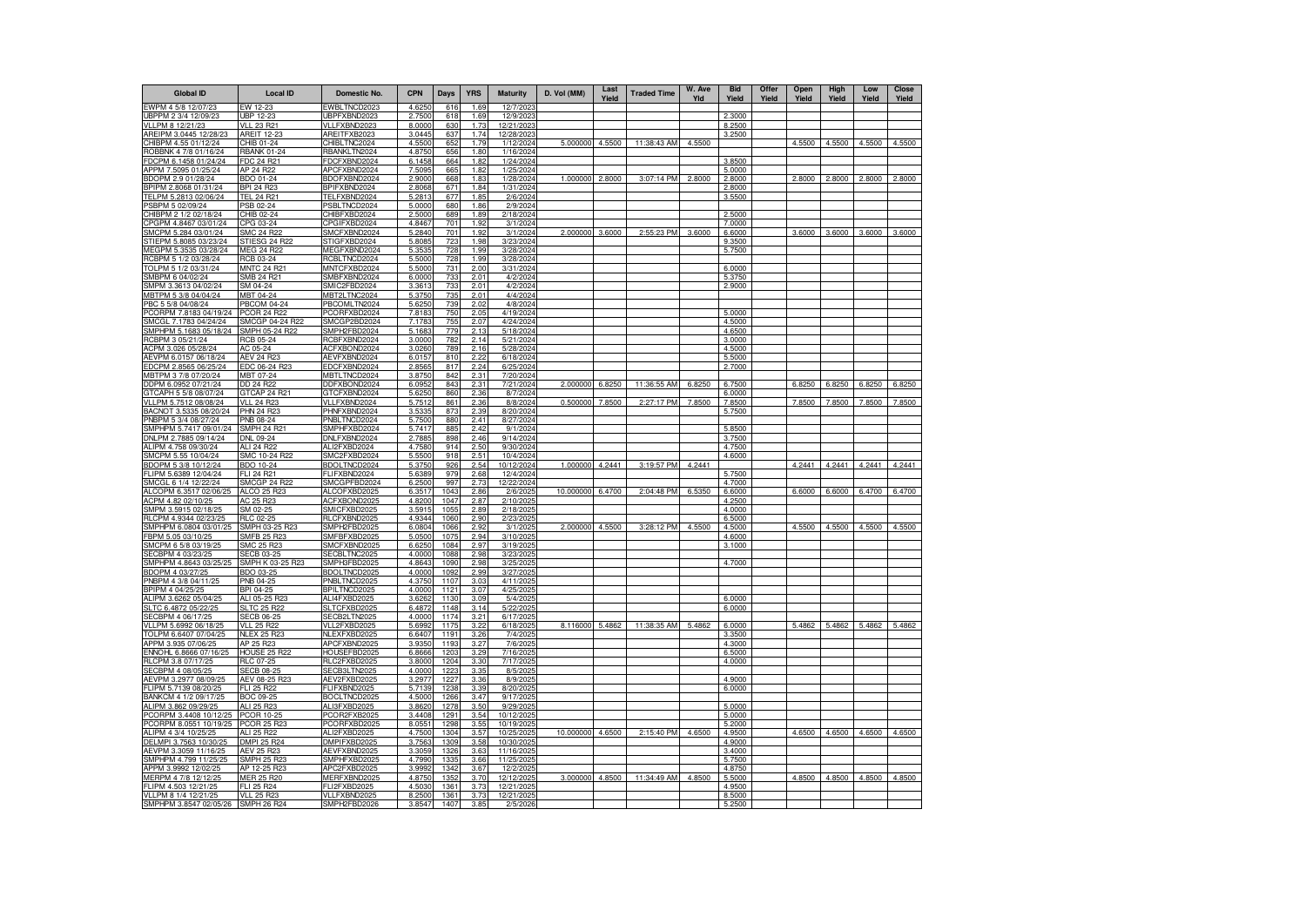| <b>Global ID</b>                                | <b>Local ID</b>                          | Domestic No.                        | <b>CPN</b>       | Days                     | <b>YRS</b>   | <b>Maturity</b>        | D. Vol (MM) | Last<br>Yield | <b>Traded Time</b> | W. Ave<br>Yld | <b>Bid</b><br>Yield | Offer<br>Yield | Open<br>Yield | High<br>Yield | Low<br>Yield | <b>Close</b><br>Yield |
|-------------------------------------------------|------------------------------------------|-------------------------------------|------------------|--------------------------|--------------|------------------------|-------------|---------------|--------------------|---------------|---------------------|----------------|---------------|---------------|--------------|-----------------------|
| EWPM 4 5/8 12/07/23                             | W 12-23                                  | EWBLTNCD2023                        | 4.6250           | 616                      | 1.69         | 12/7/202               |             |               |                    |               |                     |                |               |               |              |                       |
| UBPPM 2 3/4 12/09/23                            | JBP 12-23<br><b>VLL 23 R21</b>           | JBPFXBND2023                        | 2.7500           | 618<br>630               | 1.69         | 12/9/202<br>12/21/2023 |             |               |                    |               | 2.3000<br>8.2500    |                |               |               |              |                       |
| VLLPM 8 12/21/23<br>AREIPM 3.0445 12/28/23      | AREIT 12-23                              | VLLFXBND2023<br>AREITFXB2023        | 8.0000<br>3.0445 | 63                       | 1.73<br>1.74 | 12/28/2023             |             |               |                    |               | 3.2500              |                |               |               |              |                       |
| CHIBPM 4.55 01/12/24                            | CHIB 01-24                               | CHIBLTNC2024                        | 4.5500           | 652                      | 1.79         | 1/12/2024              | 5.000000    | 4.5500        | 11:38:43 AM        | 4.5500        |                     |                | 4.5500        | 4.5500        | 4.5500       | 4.5500                |
| ROBBNK 4 7/8 01/16/24                           | RBANK 01-24                              | RBANKLTN2024                        | 4.8750           | 656                      | 1.80         | 1/16/2024              |             |               |                    |               |                     |                |               |               |              |                       |
| FDCPM 6.1458 01/24/24                           | FDC 24 R21                               | FDCFXBND2024                        | 6.1458           | 664                      | 1.82         | 1/24/2024              |             |               |                    |               | 3.8500              |                |               |               |              |                       |
| APPM 7.5095 01/25/24                            | AP 24 R22                                | APCFXBND2024                        | 7.5095           | 665                      | 1.82         | 1/25/2024              |             |               |                    |               | 5.0000              |                |               |               |              |                       |
| BDOPM 2.9 01/28/24<br>BPIPM 2.8068 01/31/24     | BDO 01-24<br><b>RPI 24 R23</b>           | BDOFXBND2024<br>BPIFXBND2024        | 2.9000<br>2.8068 | 668<br>671               | 1.83<br>1.84 | 1/28/2024<br>1/31/202  | 1.000000    | 2.8000        | 3:07:14 PM         | 2.8000        | 2.8000<br>2.8000    |                | 2.8000        | 2.8000        | 2.8000       | 2.8000                |
| TELPM 5.2813 02/06/24                           | TEL 24 R21                               | TELFXBND2024                        | 5.2813           | 677                      | 1.85         | 2/6/202                |             |               |                    |               | 3.5500              |                |               |               |              |                       |
| PSBPM 5 02/09/24                                | PSB 02-24                                | PSBLTNCD2024                        | 5.0000           | 680                      | 1.86         | 2/9/2024               |             |               |                    |               |                     |                |               |               |              |                       |
| CHIBPM 2 1/2 02/18/24                           | CHIB 02-24                               | CHIBFXBD2024                        | 2.5000           | 689                      | 1.89         | 2/18/2024              |             |               |                    |               | 2.5000              |                |               |               |              |                       |
| CPGPM 4.8467 03/01/24                           | CPG 03-24                                | CPGIFXBD2024                        | 4.846            | 701                      | 1.92         | 3/1/202                |             |               |                    |               | 7.0000              |                |               |               |              |                       |
| SMCPM 5.284 03/01/24                            | SMC 24 R2                                | SMCFXBND2024                        | 5.2840           | 701                      | 1.92         | 3/1/202                | 2.000000    | 3.6000        | 2:55:23 PM         | 3.6000        | 6.6000              |                | 3.6000        | 3.6000        | 3.6000       | 3.6000                |
| STIEPM 5.8085 03/23/24<br>IEGPM 5.3535 03/28/24 | STIESG 24 R22<br><b>MEG 24 R22</b>       | STIGFXBD2024<br>MEGFXBND2024        | 5.8085<br>5.3535 | 723<br>728               | 1.98<br>1.99 | 3/23/2024<br>3/28/2024 |             |               |                    |               | 9.3500<br>5.7500    |                |               |               |              |                       |
| RCBPM 5 1/2 03/28/24                            | RCB 03-24                                | RCBLTNCD2024                        | 5.5000           | 728                      | 1.99         | 3/28/2024              |             |               |                    |               |                     |                |               |               |              |                       |
| TOLPM 5 1/2 03/31/24                            | MNTC 24 R21                              | MNTCFXBD2024                        | 5.5000           | 731                      | 2.00         | 3/31/2024              |             |               |                    |               | 6.0000              |                |               |               |              |                       |
| SMBPM 6 04/02/24                                | <b>SMB 24 R21</b>                        | SMBFXBND2024                        | 6.0000           | 733                      | 201          | 4/2/202                |             |               |                    |               | 5.3750              |                |               |               |              |                       |
| MPM 3.3613 04/02/24                             | SM 04-24                                 | SMIC2FBD2024                        | 3.3613           | 733                      | 2.01         | 4/2/2024               |             |               |                    |               | 2.9000              |                |               |               |              |                       |
| MBTPM 5 3/8 04/04/24                            | MBT 04-24                                | MBT2LTNC2024                        | 5.3750           | 735                      | 2.01         | 4/4/2024               |             |               |                    |               |                     |                |               |               |              |                       |
| PBC 5 5/8 04/08/24<br>CORPM 7.8183 04/19/24     | <b>PBCOM 04-24</b><br><b>PCOR 24 R22</b> | PBCOMLTN2024<br>PCORFXBD2024        | 5.6250<br>7.8183 | 739<br>750               | 202<br>2.05  | 4/8/202<br>4/19/2024   |             |               |                    |               | 5.0000              |                |               |               |              |                       |
| SMCGL 7.1783 04/24/24                           | SMCGP 04-24 R22                          | SMCGP2BD2024                        | 7.1783           | 755                      | 2.07         | 4/24/2024              |             |               |                    |               | 4.5000              |                |               |               |              |                       |
| SMPHPM 5.1683 05/18/24                          | SMPH 05-24 R22                           | SMPH2FBD2024                        | 5.1683           | 779                      | 2.13         | 5/18/202               |             |               |                    |               | 4.6500              |                |               |               |              |                       |
| RCBPM 3 05/21/24                                | <b>RCB 05-24</b>                         | RCBFXBND2024                        | 3.0000           | 782                      | 2.14         | 5/21/202               |             |               |                    |               | 3.0000              |                |               |               |              |                       |
| ACPM 3.026 05/28/24                             | AC 05-24                                 | ACFXBOND2024                        | 3.0260           | <b>789</b>               | 2.16         | 5/28/2024              |             |               |                    |               | 4.5000              |                |               |               |              |                       |
| AEVPM 6.0157 06/18/24                           | <b>AEV 24 R23</b>                        | AEVFXBND2024                        | 6.0157           | 810                      | 2.22         | 6/18/202               |             |               |                    |               | 5.5000              |                |               |               |              |                       |
| EDCPM 2.8565 06/25/24                           | EDC 06-24 R23                            | EDCFXBND2024                        | 2.856            | 817                      | 2.24         | 6/25/202               |             |               |                    |               | 2.7000              |                |               |               |              |                       |
| MBTPM 3 7/8 07/20/24<br>DDPM 6.0952 07/21/24    | MBT 07-24<br>DD 24 R22                   | MBTLTNCD2024<br>DDFXBOND2024        | 3.875<br>6.095   | 842<br>843               | 2.31<br>2.31 | 7/20/2024<br>7/21/2024 | 2.000000    | 6.8250        | 11:36:55 AM        | 6.8250        | 6.7500              |                | 6.8250        | 6.8250        | 6.8250       | 6.8250                |
| GTCAPH 5 5/8 08/07/24                           | GTCAP 24 R21                             | GTCFXBND2024                        | 5.625            | 860                      | 2.36         | 8/7/202                |             |               |                    |               | 6.0000              |                |               |               |              |                       |
| VLLPM 5.7512 08/08/24                           | VII 24 R23                               | VLLFXBND2024                        | 5.7512           | 86                       | 2.36         | 8/8/202                | 0.500000    | 7.8500        | 2:27:17 PM         | 7.8500        | 7.8500              |                | 7.8500        | 7.8500        | 7.8500       | 7.8500                |
| BACNOT 3.5335 08/20/24                          | <b>PHN 24 R23</b>                        | PHNFXBND2024                        | 3.5335           | 873                      | 2.39         | 8/20/2024              |             |               |                    |               | 5.7500              |                |               |               |              |                       |
| NBPM 5 3/4 08/27/24                             | <b>PNB 08-24</b>                         | PNBLTNCD2024                        | 5.7500           | 880                      | 2.41         | 8/27/2024              |             |               |                    |               |                     |                |               |               |              |                       |
| SMPHPM 5.7417 09/01/24                          | SMPH 24 R21                              | SMPHFXBD2024                        | 5.7417           | 885                      | 2.42         | 9/1/202                |             |               |                    |               | 5.8500              |                |               |               |              |                       |
| DNLPM 2.7885 09/14/24<br>ALIPM 4.758 09/30/24   | DNL 09-24<br>ALI 24 R22                  | DNLFXBND2024<br>ALI2FXBD2024        | 2.7885<br>4.7580 | 898<br>914               | 2.46<br>2.50 | 9/14/2024<br>9/30/2024 |             |               |                    |               | 3.7500<br>4.7500    |                |               |               |              |                       |
| SMCPM 5.55 10/04/24                             | SMC 10-24 R22                            | SMC2FXBD2024                        | 5.5500           | 918                      | 2.51         | 10/4/202               |             |               |                    |               | 4.6000              |                |               |               |              |                       |
| BDOPM 5 3/8 10/12/24                            | BDO 10-24                                | BDOLTNCD2024                        | 5.3750           | 926                      | 2.54         | 10/12/2024             | 1.000000    | 4.2441        | 3:19:57 PM         | 4.2441        |                     |                | 4.2441        | 4.2441        | 4.2441       | 4.2441                |
| FLIPM 5.6389 12/04/24                           | FLI 24 R21                               | FLIFXBND2024                        | 5.6389           | 979                      | 2.68         | 12/4/2024              |             |               |                    |               | 5.7500              |                |               |               |              |                       |
| SMCGL 6 1/4 12/22/24                            | <b>SMCGP 24 R22</b>                      | SMCGPFBD2024                        | 6.2500           | 997                      | 2.73         | 12/22/2024             |             |               |                    |               | 4.7000              |                |               |               |              |                       |
| ALCOPM 6.3517 02/06/25                          | ALCO 25 R23                              | ALCOFXBD2025                        | 6.3517           | 1043                     | 2.86         | 2/6/2025               | 10.000000   | 6.4700        | 2:04:48 PM         | 6.5350        | 6.6000              |                | 6.6000        | 6.6000        | 6.4700       | 6.4700                |
| ACPM 4.82 02/10/25<br>SMPM 3.5915 02/18/25      | AC 25 R23<br>SM 02-25                    | ACFXBOND2025<br>SMICFXBD2025        | 4.8200<br>3.5915 | 1047<br>1055             | 2.87<br>2.89 | 2/10/2025<br>2/18/202  |             |               |                    |               | 4.2500<br>4.0000    |                |               |               |              |                       |
| RLCPM 4.9344 02/23/25                           | RLC 02-25                                | RLCFXBND2025                        | 4.9344           | 1060                     | 2.90         | 2/23/2025              |             |               |                    |               | 6.5000              |                |               |               |              |                       |
| SMPHPM 6.0804 03/01/25                          | SMPH 03-25 R23                           | SMPH2FBD2025                        | 6.0804           | 1066                     | 2.92         | 3/1/2025               | 2.000000    | 4.5500        | 3:28:12 PM         | 4.5500        | 4.5000              |                | 4.5500        | 4.5500        | 4.5500       | 4.5500                |
| BPM 5.05 03/10/25                               | SMFB 25 R23                              | SMFBFXBD2025                        | 5.050            | 1075                     | 2.94         | 3/10/202               |             |               |                    |               | 4.6000              |                |               |               |              |                       |
| SMCPM 6 5/8 03/19/25                            | SMC 25 R23                               | SMCFXBND2025                        | 6.625            | 1084                     | 2.97         | 3/19/202               |             |               |                    |               | 3.1000              |                |               |               |              |                       |
| SECBPM 4 03/23/25<br>SMPHPM 4.8643 03/25/25     | SECB 03-25<br>SMPH K 03-25 R23           | SECBLTNC2025<br>SMPH3FBD2025        | 4.0000<br>4.864  | 1088<br>1090             | 2.98<br>2.98 | 3/23/202<br>3/25/202   |             |               |                    |               | 4.7000              |                |               |               |              |                       |
| BDOPM 4 03/27/25                                | BDO 03-25                                | BDOLTNCD2025                        | 4.0000           | 109                      | 2.99         | 3/27/202               |             |               |                    |               |                     |                |               |               |              |                       |
| PNBPM 4 3/8 04/11/25                            | PNB 04-25                                | PNBLTNCD2025                        | 4.3750           | 110                      | 3.03         | 4/11/2025              |             |               |                    |               |                     |                |               |               |              |                       |
| BPIPM 4 04/25/25                                | BPI 04-25                                | BPILTNCD2025                        | 4.0000           | 112                      | 3.07         | 4/25/2025              |             |               |                    |               |                     |                |               |               |              |                       |
| ALIPM 3.6262 05/04/25                           | ALI 05-25 R23                            | ALI4FXBD2025                        | 3.626            | 1130                     | 3.09         | 5/4/202                |             |               |                    |               | 6.0000              |                |               |               |              |                       |
| SLTC 6.4872 05/22/25<br>SECBPM 4 06/17/25       | SLTC 25 R22<br><b>SECB 06-25</b>         | SLTCFXBD2025<br>SECB2LTN2025        | 6.4872<br>4.000  | 1148<br>1174             | 3.14<br>3.21 | 5/22/2025<br>6/17/202  |             |               |                    |               | 6.0000              |                |               |               |              |                       |
| VLLPM 5.6992 06/18/2                            | VLL 25 R22                               | VLL2FXBD2025                        | 5.699            | 1175                     | 3.22         | 6/18/202               | 8.116000    | 5.4862        | 11:38:35 AM        | 5.4862        | 6.0000              |                | 5.4862        | 5.4862        | 5.4862       | 5.4862                |
| TOLPM 6.6407 07/04/25                           | <b>NLEX 25 R23</b>                       | NLEXFXBD2025                        | 6.6407           | 1191                     | 3.26         | 7/4/2025               |             |               |                    |               | 3.3500              |                |               |               |              |                       |
| APPM 3.935 07/06/25                             | AP 25 R23                                | APCFXBND2025                        | 3.935            | 119                      | 3.27         | 7/6/202                |             |               |                    |               | 4.3000              |                |               |               |              |                       |
| ENNOHL 6.8666 07/16/25                          | HOUSE 25 R22                             | HOUSEFBD2025                        | 6.866            | 1203                     | 3.29         | 7/16/202               |             |               |                    |               | 6.5000              |                |               |               |              |                       |
| RLCPM 3.8 07/17/25                              | RLC 07-25                                | RLC2FXBD2025                        | 3.8000           | 1204                     | 3.30         | 7/17/2025              |             |               |                    |               | 4.0000              |                |               |               |              |                       |
| SECBPM 4 08/05/25<br>AEVPM 3.2977 08/09/25      | <u>SECB 08-25</u><br>AEV 08-25 R23       | <u>SECB3LTN2025</u><br>AEV2FXBD2025 | 4.0000<br>3.2977 | 1223<br>1227             | 3.35<br>3.36 | 8/5/202<br>8/9/202     |             |               |                    |               | 4.9000              |                |               |               |              |                       |
| FLIPM 5.7139 08/20/25                           | FLI 25 R22                               | FLIFXBND2025                        | 5.7139           | 1238                     | 3.39         | 8/20/202               |             |               |                    |               | 6.0000              |                |               |               |              |                       |
| BANKCM 4 1/2 09/17/25                           | BOC 09-25                                | BOCLTNCD2025                        | 4.5000           | 1266                     | 3.47         | 9/17/202               |             |               |                    |               |                     |                |               |               |              |                       |
| ALIPM 3.862 09/29/25                            | ALI 25 R23                               | ALI3FXBD2025                        | 3.862            | 1278                     | 3.50         | 9/29/2025              |             |               |                    |               | 5.0000              |                |               |               |              |                       |
| PCORPM 3.4408 10/12/25                          | PCOR 10-25                               | PCOR2FXB2025                        | 3.440            | $129 -$                  | 3.54         | 10/12/2025             |             |               |                    |               | 5.0000              |                |               |               |              |                       |
| PCORPM 8.0551 10/19/25                          | PCOR 25 R23                              | PCORFXBD2025                        | 8.055            | 1298                     | 3.55         | 10/19/2025             |             |               |                    |               | 5.2000              |                |               |               |              |                       |
| ALIPM 4 3/4 10/25/25<br>DELMPI 3.7563 10/30/2   | ALI 25 R22<br><b>DMPI 25 R24</b>         | ALI2FXBD2025<br>DMPIFXBD2025        | 4.750<br>3.756   | 1304<br>1309             | 3.57<br>3.58 | 10/25/202<br>10/30/202 | 10.000000   | 4.6500        | 2:15:40 PM         | 4.6500        | 4.9500<br>4.9000    |                | 4.6500        | 4.6500        | 4.6500       | 4.6500                |
| AEVPM 3.3059 11/16/25                           | AEV 25 R23                               | AEVFXBND2025                        | 3.3059           | 1326                     | 3.63         | 11/16/2025             |             |               |                    |               | 3.4000              |                |               |               |              |                       |
| SMPHPM 4.799 11/25/25                           | SMPH 25 R23                              | SMPHFXBD2025                        | 4.7990           | 1335                     | 3.66         | 11/25/2025             |             |               |                    |               | 5.7500              |                |               |               |              |                       |
| APPM 3.9992 12/02/25                            | AP 12-25 R23                             | APC2FXBD2025                        | 3.999            | 1342                     | 3.67         | 12/2/202               |             |               |                    |               | 4.8750              |                |               |               |              |                       |
| MERPM 4 7/8 12/12/25                            | <b>MER 25 R20</b>                        | MERFXBND2025                        | 4.8750           | 1352                     | 3.70         | 12/12/2025             | 3.000000    | 4.8500        | 11:34:49 AM        | 4.8500        | 5.5000              |                | 4.8500        | 4.8500        | 4.8500       | 4.8500                |
| I IPM 4.503 12/21/25                            | FLI 25 R24                               | FLI2FXBD2025                        | 4.5030           | 136'                     | 3.73         | 12/21/202              |             |               |                    |               | 4.9500              |                |               |               |              |                       |
| VLLPM 8 1/4 12/21/25<br>SMPHPM 3.8547 02/05/26  | <b>VLL 25 R23</b><br><b>SMPH 26 R24</b>  | VLLFXBND2025<br>SMPH2FBD2026        | 8.2500<br>3.8547 | 136 <sup>°</sup><br>1407 | 3.73<br>3.85 | 12/21/202<br>2/5/2026  |             |               |                    |               | 8.5000<br>5.2500    |                |               |               |              |                       |
|                                                 |                                          |                                     |                  |                          |              |                        |             |               |                    |               |                     |                |               |               |              |                       |